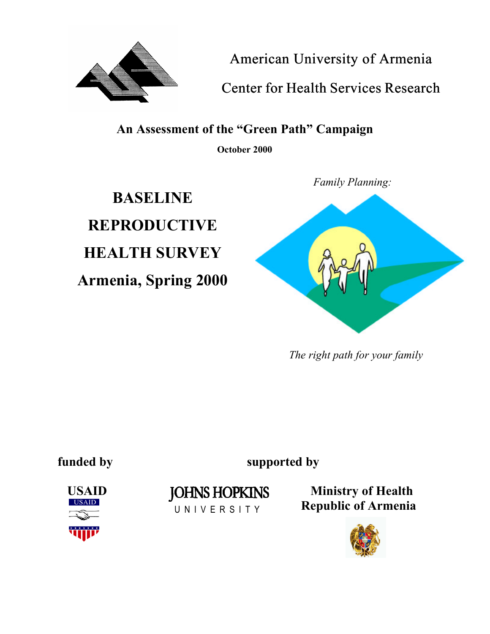

*American University of Armenia*

*Center for Health Services Research*

**An Assessment of the "Green Path" Campaign**

**October 2000**

**BASELINE REPRODUCTIVE HEALTH SURVEY Armenia, Spring 2000** *Family Planning:*



*The right path for your family*

**funded by supported by**



U N I V E R S I T Y

USAID JOHNS HOPKINS Ministry of Health  **Republic of Armenia**

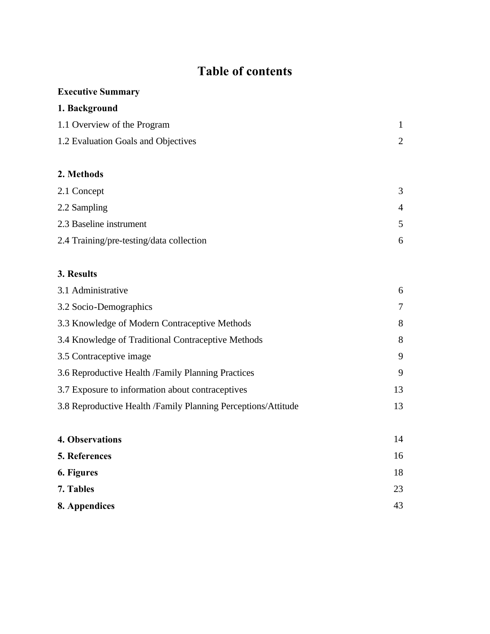# **Table of contents**

# **Executive Summary**

# **1. Background**

| 1.1 Overview of the Program         |  |
|-------------------------------------|--|
| 1.2 Evaluation Goals and Objectives |  |

# **2. Methods**

| 2.1 Concept                              | 3 |
|------------------------------------------|---|
| 2.2 Sampling                             | 4 |
| 2.3 Baseline instrument                  |   |
| 2.4 Training/pre-testing/data collection | 6 |

# **3. Results**

| 3.1 Administrative                                             | 6      |
|----------------------------------------------------------------|--------|
| 3.2 Socio-Demographics                                         | $\tau$ |
| 3.3 Knowledge of Modern Contraceptive Methods                  | 8      |
| 3.4 Knowledge of Traditional Contraceptive Methods             | 8      |
| 3.5 Contraceptive image                                        | 9      |
| 3.6 Reproductive Health / Family Planning Practices            | 9      |
| 3.7 Exposure to information about contraceptives               | 13     |
| 3.8 Reproductive Health / Family Planning Perceptions/Attitude | 13     |
|                                                                |        |
|                                                                |        |

| 4. Observations | 14 |
|-----------------|----|
| 5. References   | 16 |
| 6. Figures      | 18 |
| 7. Tables       | 23 |
| 8. Appendices   | 43 |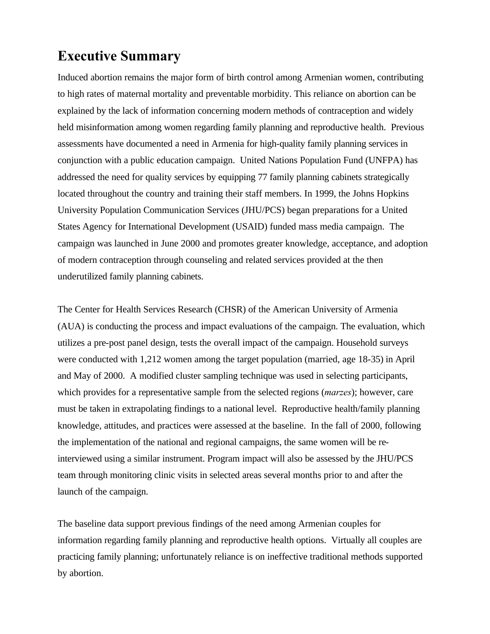# **Executive Summary**

Induced abortion remains the major form of birth control among Armenian women, contributing to high rates of maternal mortality and preventable morbidity. This reliance on abortion can be explained by the lack of information concerning modern methods of contraception and widely held misinformation among women regarding family planning and reproductive health. Previous assessments have documented a need in Armenia for high-quality family planning services in conjunction with a public education campaign. United Nations Population Fund (UNFPA) has addressed the need for quality services by equipping 77 family planning cabinets strategically located throughout the country and training their staff members. In 1999, the Johns Hopkins University Population Communication Services (JHU/PCS) began preparations for a United States Agency for International Development (USAID) funded mass media campaign. The campaign was launched in June 2000 and promotes greater knowledge, acceptance, and adoption of modern contraception through counseling and related services provided at the then underutilized family planning cabinets.

The Center for Health Services Research (CHSR) of the American University of Armenia (AUA) is conducting the process and impact evaluations of the campaign. The evaluation, which utilizes a pre-post panel design, tests the overall impact of the campaign. Household surveys were conducted with 1,212 women among the target population (married, age 18-35) in April and May of 2000. A modified cluster sampling technique was used in selecting participants, which provides for a representative sample from the selected regions (*marzes*); however, care must be taken in extrapolating findings to a national level. Reproductive health/family planning knowledge, attitudes, and practices were assessed at the baseline. In the fall of 2000, following the implementation of the national and regional campaigns, the same women will be reinterviewed using a similar instrument. Program impact will also be assessed by the JHU/PCS team through monitoring clinic visits in selected areas several months prior to and after the launch of the campaign.

The baseline data support previous findings of the need among Armenian couples for information regarding family planning and reproductive health options. Virtually all couples are practicing family planning; unfortunately reliance is on ineffective traditional methods supported by abortion.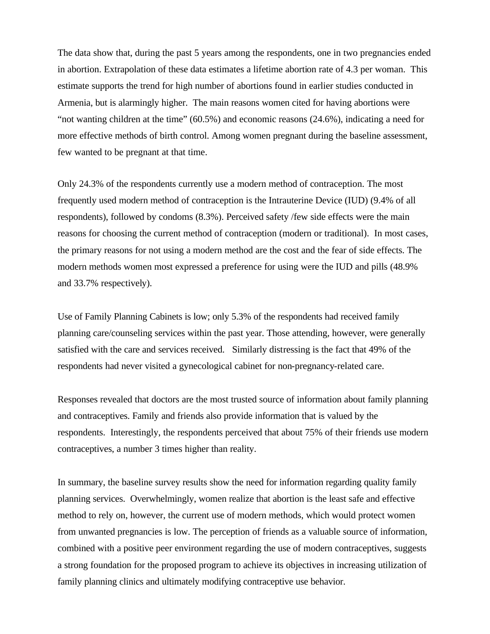The data show that, during the past 5 years among the respondents, one in two pregnancies ended in abortion. Extrapolation of these data estimates a lifetime abortion rate of 4.3 per woman. This estimate supports the trend for high number of abortions found in earlier studies conducted in Armenia, but is alarmingly higher. The main reasons women cited for having abortions were "not wanting children at the time" (60.5%) and economic reasons (24.6%), indicating a need for more effective methods of birth control. Among women pregnant during the baseline assessment, few wanted to be pregnant at that time.

Only 24.3% of the respondents currently use a modern method of contraception. The most frequently used modern method of contraception is the Intrauterine Device (IUD) (9.4% of all respondents), followed by condoms (8.3%). Perceived safety /few side effects were the main reasons for choosing the current method of contraception (modern or traditional). In most cases, the primary reasons for not using a modern method are the cost and the fear of side effects. The modern methods women most expressed a preference for using were the IUD and pills (48.9% and 33.7% respectively).

Use of Family Planning Cabinets is low; only 5.3% of the respondents had received family planning care/counseling services within the past year. Those attending, however, were generally satisfied with the care and services received. Similarly distressing is the fact that 49% of the respondents had never visited a gynecological cabinet for non-pregnancy-related care.

Responses revealed that doctors are the most trusted source of information about family planning and contraceptives. Family and friends also provide information that is valued by the respondents. Interestingly, the respondents perceived that about 75% of their friends use modern contraceptives, a number 3 times higher than reality.

In summary, the baseline survey results show the need for information regarding quality family planning services. Overwhelmingly, women realize that abortion is the least safe and effective method to rely on, however, the current use of modern methods, which would protect women from unwanted pregnancies is low. The perception of friends as a valuable source of information, combined with a positive peer environment regarding the use of modern contraceptives, suggests a strong foundation for the proposed program to achieve its objectives in increasing utilization of family planning clinics and ultimately modifying contraceptive use behavior.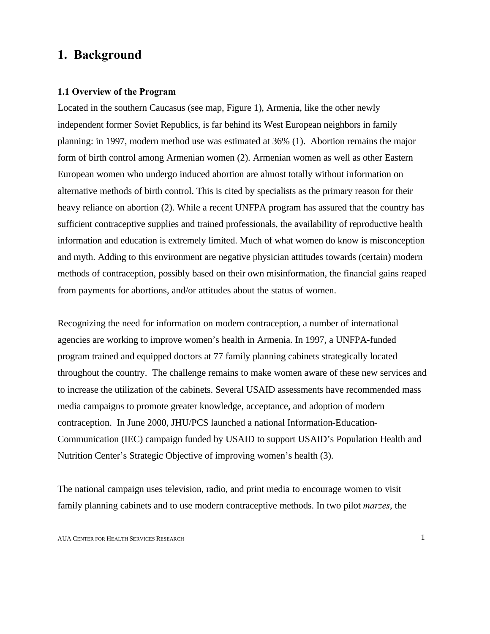# **1. Background**

## **1.1 Overview of the Program**

Located in the southern Caucasus (see map, Figure 1), Armenia, like the other newly independent former Soviet Republics, is far behind its West European neighbors in family planning: in 1997, modern method use was estimated at 36% (1). Abortion remains the major form of birth control among Armenian women (2). Armenian women as well as other Eastern European women who undergo induced abortion are almost totally without information on alternative methods of birth control. This is cited by specialists as the primary reason for their heavy reliance on abortion (2). While a recent UNFPA program has assured that the country has sufficient contraceptive supplies and trained professionals, the availability of reproductive health information and education is extremely limited. Much of what women do know is misconception and myth. Adding to this environment are negative physician attitudes towards (certain) modern methods of contraception, possibly based on their own misinformation, the financial gains reaped from payments for abortions, and/or attitudes about the status of women.

Recognizing the need for information on modern contraception, a number of international agencies are working to improve women's health in Armenia. In 1997, a UNFPA-funded program trained and equipped doctors at 77 family planning cabinets strategically located throughout the country. The challenge remains to make women aware of these new services and to increase the utilization of the cabinets. Several USAID assessments have recommended mass media campaigns to promote greater knowledge, acceptance, and adoption of modern contraception. In June 2000, JHU/PCS launched a national Information-Education-Communication (IEC) campaign funded by USAID to support USAID's Population Health and Nutrition Center's Strategic Objective of improving women's health (3).

The national campaign uses television, radio, and print media to encourage women to visit family planning cabinets and to use modern contraceptive methods. In two pilot *marzes*, the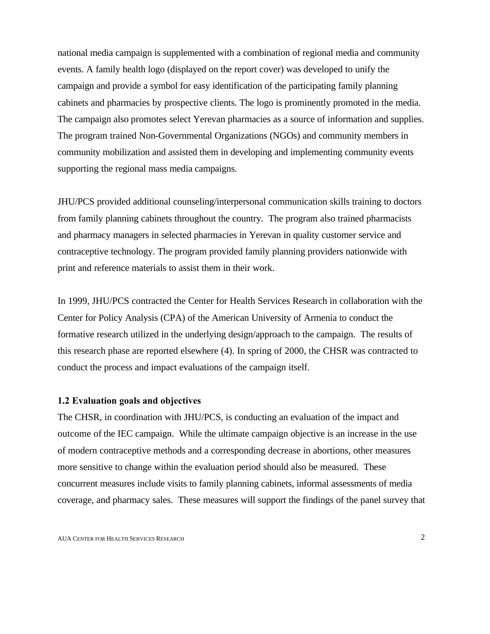national media campaign is supplemented with a combination of regional media and community events. A family health logo (displayed on the report cover) was developed to unify the campaign and provide a symbol for easy identification of the participating family planning cabinets and pharmacies by prospective clients. The logo is prominently promoted in the media. The campaign also promotes select Yerevan pharmacies as a source of information and supplies. The program trained Non-Governmental Organizations (NGOs) and community members in community mobilization and assisted them in developing and implementing community events supporting the regional mass media campaigns.

JHU/PCS provided additional counseling/interpersonal communication skills training to doctors from family planning cabinets throughout the country. The program also trained pharmacists and pharmacy managers in selected pharmacies in Yerevan in quality customer service and contraceptive technology. The program provided family planning providers nationwide with print and reference materials to assist them in their work.

In 1999, JHU/PCS contracted the Center for Health Services Research in collaboration with the Center for Policy Analysis (CPA) of the American University of Armenia to conduct the formative research utilized in the underlying design/approach to the campaign. The results of this research phase are reported elsewhere (4). In spring of 2000, the CHSR was contracted to conduct the process and impact evaluations of the campaign itself.

#### **1.2 Evaluation goals and objectives**

The CHSR, in coordination with JHU/PCS, is conducting an evaluation of the impact and outcome of the IEC campaign. While the ultimate campaign objective is an increase in the use of modern contraceptive methods and a corresponding decrease in abortions, other measures more sensitive to change within the evaluation period should also be measured. These concurrent measures include visits to family planning cabinets, informal assessments of media coverage, and pharmacy sales. These measures will support the findings of the panel survey that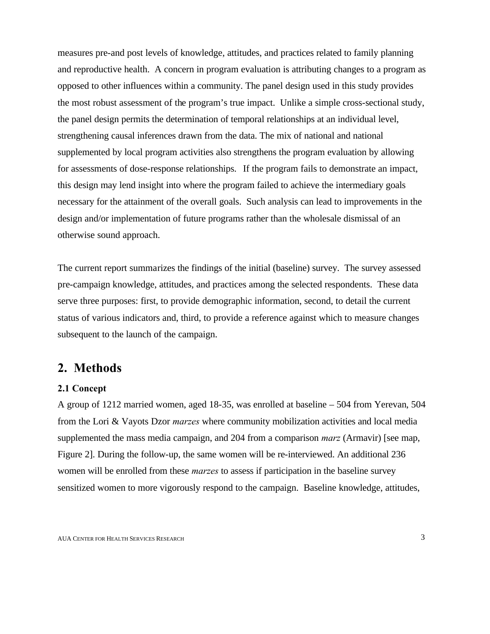measures pre-and post levels of knowledge, attitudes, and practices related to family planning and reproductive health. A concern in program evaluation is attributing changes to a program as opposed to other influences within a community. The panel design used in this study provides the most robust assessment of the program's true impact. Unlike a simple cross-sectional study, the panel design permits the determination of temporal relationships at an individual level, strengthening causal inferences drawn from the data. The mix of national and national supplemented by local program activities also strengthens the program evaluation by allowing for assessments of dose-response relationships. If the program fails to demonstrate an impact, this design may lend insight into where the program failed to achieve the intermediary goals necessary for the attainment of the overall goals. Such analysis can lead to improvements in the design and/or implementation of future programs rather than the wholesale dismissal of an otherwise sound approach.

The current report summarizes the findings of the initial (baseline) survey. The survey assessed pre-campaign knowledge, attitudes, and practices among the selected respondents. These data serve three purposes: first, to provide demographic information, second, to detail the current status of various indicators and, third, to provide a reference against which to measure changes subsequent to the launch of the campaign.

# **2. Methods**

## **2.1 Concept**

A group of 1212 married women, aged 18-35, was enrolled at baseline – 504 from Yerevan, 504 from the Lori & Vayots Dzor *marzes* where community mobilization activities and local media supplemented the mass media campaign, and 204 from a comparison *marz* (Armavir) [see map, Figure 2]. During the follow-up, the same women will be re-interviewed. An additional 236 women will be enrolled from these *marzes* to assess if participation in the baseline survey sensitized women to more vigorously respond to the campaign. Baseline knowledge, attitudes,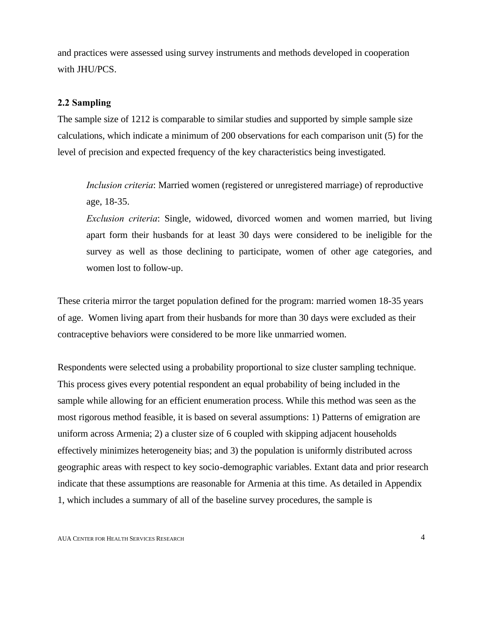and practices were assessed using survey instruments and methods developed in cooperation with JHU/PCS.

## **2.2 Sampling**

The sample size of 1212 is comparable to similar studies and supported by simple sample size calculations, which indicate a minimum of 200 observations for each comparison unit (5) for the level of precision and expected frequency of the key characteristics being investigated.

*Inclusion criteria*: Married women (registered or unregistered marriage) of reproductive age, 18-35.

*Exclusion criteria*: Single, widowed, divorced women and women married, but living apart form their husbands for at least 30 days were considered to be ineligible for the survey as well as those declining to participate, women of other age categories, and women lost to follow-up.

These criteria mirror the target population defined for the program: married women 18-35 years of age. Women living apart from their husbands for more than 30 days were excluded as their contraceptive behaviors were considered to be more like unmarried women.

Respondents were selected using a probability proportional to size cluster sampling technique. This process gives every potential respondent an equal probability of being included in the sample while allowing for an efficient enumeration process. While this method was seen as the most rigorous method feasible, it is based on several assumptions: 1) Patterns of emigration are uniform across Armenia; 2) a cluster size of 6 coupled with skipping adjacent households effectively minimizes heterogeneity bias; and 3) the population is uniformly distributed across geographic areas with respect to key socio-demographic variables. Extant data and prior research indicate that these assumptions are reasonable for Armenia at this time. As detailed in Appendix 1, which includes a summary of all of the baseline survey procedures, the sample is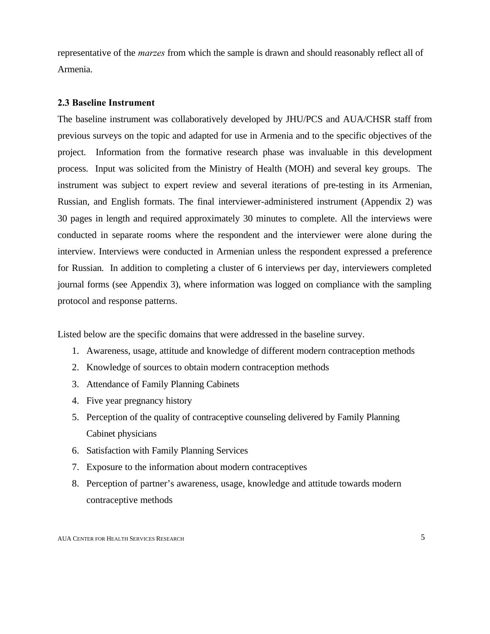representative of the *marzes* from which the sample is drawn and should reasonably reflect all of Armenia.

## **2.3 Baseline Instrument**

The baseline instrument was collaboratively developed by JHU/PCS and AUA/CHSR staff from previous surveys on the topic and adapted for use in Armenia and to the specific objectives of the project. Information from the formative research phase was invaluable in this development process. Input was solicited from the Ministry of Health (MOH) and several key groups. The instrument was subject to expert review and several iterations of pre-testing in its Armenian, Russian, and English formats. The final interviewer-administered instrument (Appendix 2) was 30 pages in length and required approximately 30 minutes to complete. All the interviews were conducted in separate rooms where the respondent and the interviewer were alone during the interview. Interviews were conducted in Armenian unless the respondent expressed a preference for Russian. In addition to completing a cluster of 6 interviews per day, interviewers completed journal forms (see Appendix 3), where information was logged on compliance with the sampling protocol and response patterns.

Listed below are the specific domains that were addressed in the baseline survey.

- 1. Awareness, usage, attitude and knowledge of different modern contraception methods
- 2. Knowledge of sources to obtain modern contraception methods
- 3. Attendance of Family Planning Cabinets
- 4. Five year pregnancy history
- 5. Perception of the quality of contraceptive counseling delivered by Family Planning Cabinet physicians
- 6. Satisfaction with Family Planning Services
- 7. Exposure to the information about modern contraceptives
- 8. Perception of partner's awareness, usage, knowledge and attitude towards modern contraceptive methods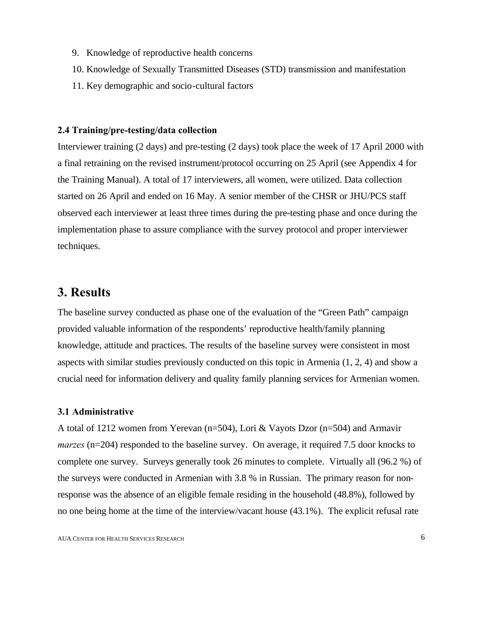- 9. Knowledge of reproductive health concerns
- 10. Knowledge of Sexually Transmitted Diseases (STD) transmission and manifestation
- 11. Key demographic and socio-cultural factors

#### **2.4 Training/pre-testing/data collection**

Interviewer training (2 days) and pre-testing (2 days) took place the week of 17 April 2000 with a final retraining on the revised instrument/protocol occurring on 25 April (see Appendix 4 for the Training Manual). A total of 17 interviewers, all women, were utilized. Data collection started on 26 April and ended on 16 May. A senior member of the CHSR or JHU/PCS staff observed each interviewer at least three times during the pre-testing phase and once during the implementation phase to assure compliance with the survey protocol and proper interviewer techniques.

# **3. Results**

The baseline survey conducted as phase one of the evaluation of the "Green Path" campaign provided valuable information of the respondents' reproductive health/family planning knowledge, attitude and practices. The results of the baseline survey were consistent in most aspects with similar studies previously conducted on this topic in Armenia (1, 2, 4) and show a crucial need for information delivery and quality family planning services for Armenian women.

## **3.1 Administrative**

A total of 1212 women from Yerevan (n=504), Lori & Vayots Dzor (n=504) and Armavir *marzes* (n=204) responded to the baseline survey. On average, it required 7.5 door knocks to complete one survey. Surveys generally took 26 minutes to complete. Virtually all (96.2 %) of the surveys were conducted in Armenian with 3.8 % in Russian. The primary reason for nonresponse was the absence of an eligible female residing in the household (48.8%), followed by no one being home at the time of the interview/vacant house (43.1%). The explicit refusal rate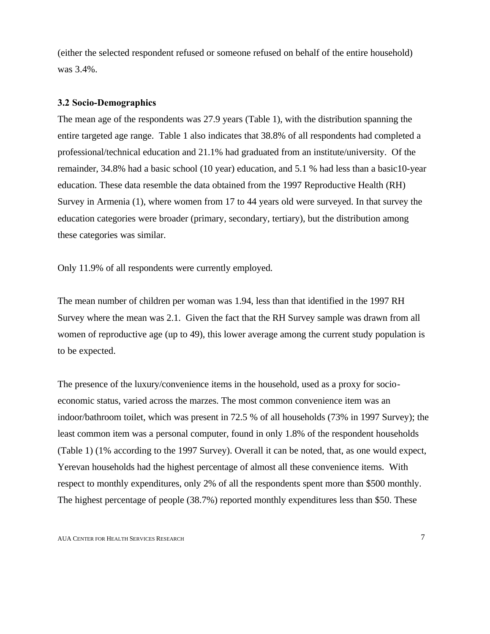(either the selected respondent refused or someone refused on behalf of the entire household) was 3.4%.

### **3.2 Socio-Demographics**

The mean age of the respondents was 27.9 years (Table 1), with the distribution spanning the entire targeted age range. Table 1 also indicates that 38.8% of all respondents had completed a professional/technical education and 21.1% had graduated from an institute/university. Of the remainder, 34.8% had a basic school (10 year) education, and 5.1 % had less than a basic10-year education. These data resemble the data obtained from the 1997 Reproductive Health (RH) Survey in Armenia (1), where women from 17 to 44 years old were surveyed. In that survey the education categories were broader (primary, secondary, tertiary), but the distribution among these categories was similar.

Only 11.9% of all respondents were currently employed.

The mean number of children per woman was 1.94, less than that identified in the 1997 RH Survey where the mean was 2.1. Given the fact that the RH Survey sample was drawn from all women of reproductive age (up to 49), this lower average among the current study population is to be expected.

The presence of the luxury/convenience items in the household, used as a proxy for socioeconomic status, varied across the marzes. The most common convenience item was an indoor/bathroom toilet, which was present in 72.5 % of all households (73% in 1997 Survey); the least common item was a personal computer, found in only 1.8% of the respondent households (Table 1) (1% according to the 1997 Survey). Overall it can be noted, that, as one would expect, Yerevan households had the highest percentage of almost all these convenience items. With respect to monthly expenditures, only 2% of all the respondents spent more than \$500 monthly. The highest percentage of people (38.7%) reported monthly expenditures less than \$50. These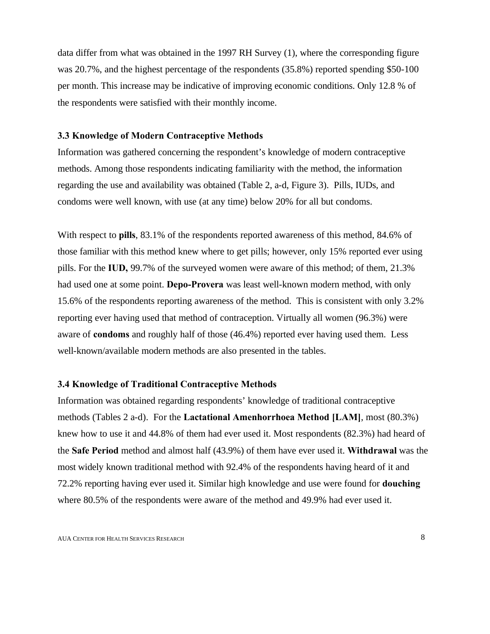data differ from what was obtained in the 1997 RH Survey (1), where the corresponding figure was 20.7%, and the highest percentage of the respondents (35.8%) reported spending \$50-100 per month. This increase may be indicative of improving economic conditions. Only 12.8 % of the respondents were satisfied with their monthly income.

#### **3.3 Knowledge of Modern Contraceptive Methods**

Information was gathered concerning the respondent's knowledge of modern contraceptive methods. Among those respondents indicating familiarity with the method, the information regarding the use and availability was obtained (Table 2, a-d, Figure 3). Pills, IUDs, and condoms were well known, with use (at any time) below 20% for all but condoms.

With respect to **pills**, 83.1% of the respondents reported awareness of this method, 84.6% of those familiar with this method knew where to get pills; however, only 15% reported ever using pills. For the **IUD,** 99.7% of the surveyed women were aware of this method; of them, 21.3% had used one at some point. **Depo-Provera** was least well-known modern method, with only 15.6% of the respondents reporting awareness of the method. This is consistent with only 3.2% reporting ever having used that method of contraception. Virtually all women (96.3%) were aware of **condoms** and roughly half of those (46.4%) reported ever having used them. Less well-known/available modern methods are also presented in the tables.

### **3.4 Knowledge of Traditional Contraceptive Methods**

Information was obtained regarding respondents' knowledge of traditional contraceptive methods (Tables 2 a-d).For the **Lactational Amenhorrhoea Method [LAM]**, most (80.3%) knew how to use it and 44.8% of them had ever used it. Most respondents (82.3%) had heard of the **Safe Period** method and almost half (43.9%) of them have ever used it. **Withdrawal** was the most widely known traditional method with 92.4% of the respondents having heard of it and 72.2% reporting having ever used it. Similar high knowledge and use were found for **douching** where 80.5% of the respondents were aware of the method and 49.9% had ever used it.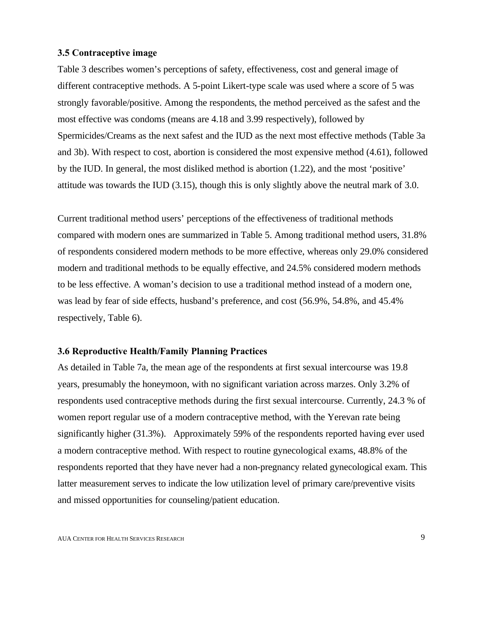### **3.5 Contraceptive image**

Table 3 describes women's perceptions of safety, effectiveness, cost and general image of different contraceptive methods. A 5-point Likert-type scale was used where a score of 5 was strongly favorable/positive. Among the respondents, the method perceived as the safest and the most effective was condoms (means are 4.18 and 3.99 respectively), followed by Spermicides/Creams as the next safest and the IUD as the next most effective methods (Table 3a and 3b). With respect to cost, abortion is considered the most expensive method (4.61), followed by the IUD. In general, the most disliked method is abortion (1.22), and the most 'positive' attitude was towards the IUD (3.15), though this is only slightly above the neutral mark of 3.0.

Current traditional method users' perceptions of the effectiveness of traditional methods compared with modern ones are summarized in Table 5. Among traditional method users, 31.8% of respondents considered modern methods to be more effective, whereas only 29.0% considered modern and traditional methods to be equally effective, and 24.5% considered modern methods to be less effective. A woman's decision to use a traditional method instead of a modern one, was lead by fear of side effects, husband's preference, and cost (56.9%, 54.8%, and 45.4% respectively, Table 6).

#### **3.6 Reproductive Health/Family Planning Practices**

As detailed in Table 7a, the mean age of the respondents at first sexual intercourse was 19.8 years, presumably the honeymoon, with no significant variation across marzes. Only 3.2% of respondents used contraceptive methods during the first sexual intercourse. Currently, 24.3 % of women report regular use of a modern contraceptive method, with the Yerevan rate being significantly higher (31.3%). Approximately 59% of the respondents reported having ever used a modern contraceptive method. With respect to routine gynecological exams, 48.8% of the respondents reported that they have never had a non-pregnancy related gynecological exam. This latter measurement serves to indicate the low utilization level of primary care/preventive visits and missed opportunities for counseling/patient education.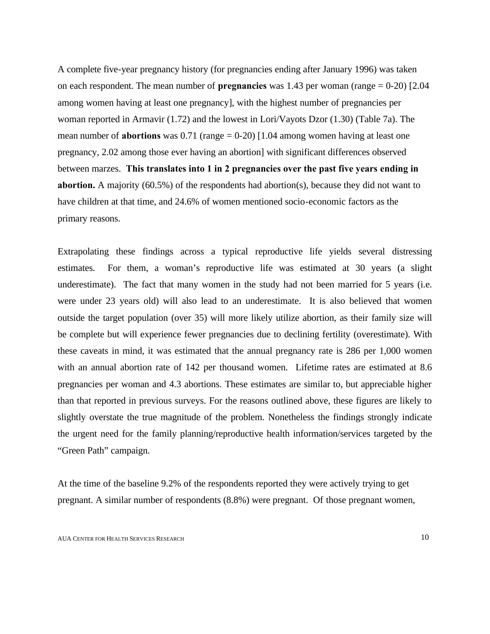A complete five-year pregnancy history (for pregnancies ending after January 1996) was taken on each respondent. The mean number of **pregnancies** was 1.43 per woman (range = 0-20) [2.04 among women having at least one pregnancy], with the highest number of pregnancies per woman reported in Armavir (1.72) and the lowest in Lori/Vayots Dzor (1.30) (Table 7a). The mean number of **abortions** was 0.71 (range = 0-20) [1.04 among women having at least one pregnancy, 2.02 among those ever having an abortion] with significant differences observed between marzes. **This translates into 1 in 2 pregnancies over the past five years ending in abortion.** A majority (60.5%) of the respondents had abortion(s), because they did not want to have children at that time, and 24.6% of women mentioned socio-economic factors as the primary reasons.

Extrapolating these findings across a typical reproductive life yields several distressing estimates. For them, a woman's reproductive life was estimated at 30 years (a slight underestimate). The fact that many women in the study had not been married for 5 years (i.e. were under 23 years old) will also lead to an underestimate. It is also believed that women outside the target population (over 35) will more likely utilize abortion, as their family size will be complete but will experience fewer pregnancies due to declining fertility (overestimate). With these caveats in mind, it was estimated that the annual pregnancy rate is 286 per 1,000 women with an annual abortion rate of 142 per thousand women. Lifetime rates are estimated at 8.6 pregnancies per woman and 4.3 abortions. These estimates are similar to, but appreciable higher than that reported in previous surveys. For the reasons outlined above, these figures are likely to slightly overstate the true magnitude of the problem. Nonetheless the findings strongly indicate the urgent need for the family planning/reproductive health information/services targeted by the "Green Path" campaign.

At the time of the baseline 9.2% of the respondents reported they were actively trying to get pregnant. A similar number of respondents (8.8%) were pregnant. Of those pregnant women,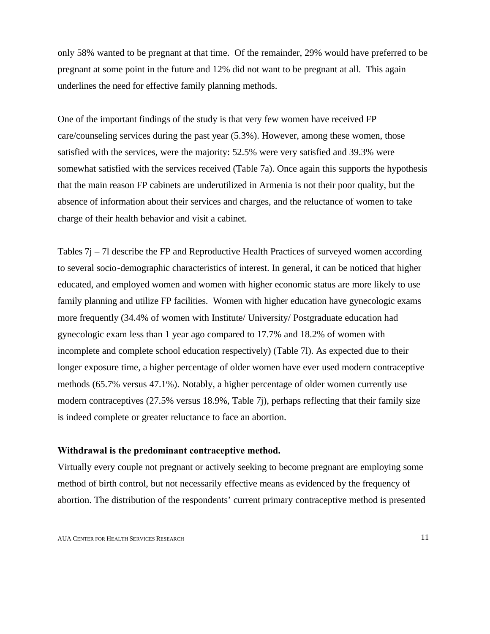only 58% wanted to be pregnant at that time. Of the remainder, 29% would have preferred to be pregnant at some point in the future and 12% did not want to be pregnant at all. This again underlines the need for effective family planning methods.

One of the important findings of the study is that very few women have received FP care/counseling services during the past year (5.3%). However, among these women, those satisfied with the services, were the majority: 52.5% were very satisfied and 39.3% were somewhat satisfied with the services received (Table 7a). Once again this supports the hypothesis that the main reason FP cabinets are underutilized in Armenia is not their poor quality, but the absence of information about their services and charges, and the reluctance of women to take charge of their health behavior and visit a cabinet.

Tables 7j – 7l describe the FP and Reproductive Health Practices of surveyed women according to several socio-demographic characteristics of interest. In general, it can be noticed that higher educated, and employed women and women with higher economic status are more likely to use family planning and utilize FP facilities. Women with higher education have gynecologic exams more frequently (34.4% of women with Institute/ University/ Postgraduate education had gynecologic exam less than 1 year ago compared to 17.7% and 18.2% of women with incomplete and complete school education respectively) (Table 7l). As expected due to their longer exposure time, a higher percentage of older women have ever used modern contraceptive methods (65.7% versus 47.1%). Notably, a higher percentage of older women currently use modern contraceptives (27.5% versus 18.9%, Table 7j), perhaps reflecting that their family size is indeed complete or greater reluctance to face an abortion.

#### **Withdrawal is the predominant contraceptive method.**

Virtually every couple not pregnant or actively seeking to become pregnant are employing some method of birth control, but not necessarily effective means as evidenced by the frequency of abortion. The distribution of the respondents' current primary contraceptive method is presented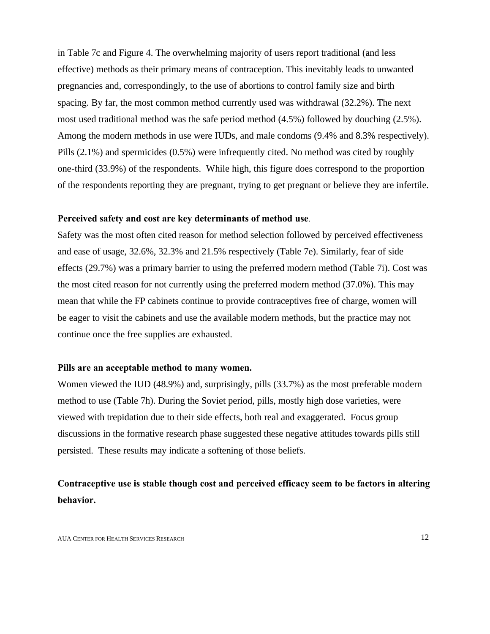in Table 7c and Figure 4. The overwhelming majority of users report traditional (and less effective) methods as their primary means of contraception. This inevitably leads to unwanted pregnancies and, correspondingly, to the use of abortions to control family size and birth spacing. By far, the most common method currently used was withdrawal (32.2%). The next most used traditional method was the safe period method (4.5%) followed by douching (2.5%). Among the modern methods in use were IUDs, and male condoms (9.4% and 8.3% respectively). Pills (2.1%) and spermicides (0.5%) were infrequently cited. No method was cited by roughly one-third (33.9%) of the respondents. While high, this figure does correspond to the proportion of the respondents reporting they are pregnant, trying to get pregnant or believe they are infertile.

#### **Perceived safety and cost are key determinants of method use**.

Safety was the most often cited reason for method selection followed by perceived effectiveness and ease of usage, 32.6%, 32.3% and 21.5% respectively (Table 7e). Similarly, fear of side effects (29.7%) was a primary barrier to using the preferred modern method (Table 7i). Cost was the most cited reason for not currently using the preferred modern method (37.0%). This may mean that while the FP cabinets continue to provide contraceptives free of charge, women will be eager to visit the cabinets and use the available modern methods, but the practice may not continue once the free supplies are exhausted.

### **Pills are an acceptable method to many women.**

Women viewed the IUD (48.9%) and, surprisingly, pills (33.7%) as the most preferable modern method to use (Table 7h). During the Soviet period, pills, mostly high dose varieties, were viewed with trepidation due to their side effects, both real and exaggerated. Focus group discussions in the formative research phase suggested these negative attitudes towards pills still persisted. These results may indicate a softening of those beliefs.

## **Contraceptive use is stable though cost and perceived efficacy seem to be factors in altering behavior.**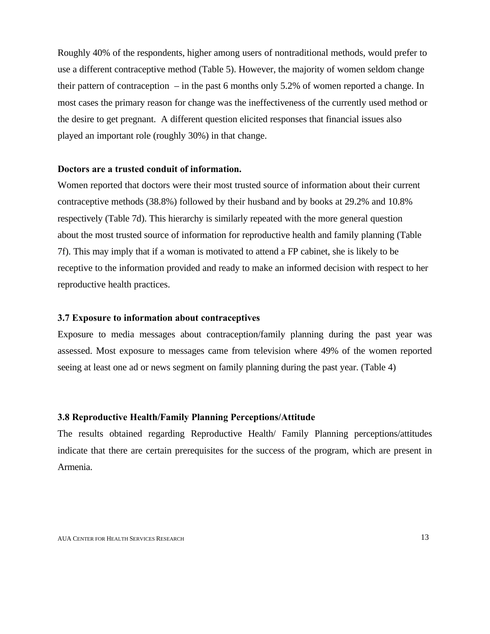Roughly 40% of the respondents, higher among users of nontraditional methods, would prefer to use a different contraceptive method (Table 5). However, the majority of women seldom change their pattern of contraception – in the past 6 months only 5.2% of women reported a change. In most cases the primary reason for change was the ineffectiveness of the currently used method or the desire to get pregnant. A different question elicited responses that financial issues also played an important role (roughly 30%) in that change.

### **Doctors are a trusted conduit of information.**

Women reported that doctors were their most trusted source of information about their current contraceptive methods (38.8%) followed by their husband and by books at 29.2% and 10.8% respectively (Table 7d). This hierarchy is similarly repeated with the more general question about the most trusted source of information for reproductive health and family planning (Table 7f). This may imply that if a woman is motivated to attend a FP cabinet, she is likely to be receptive to the information provided and ready to make an informed decision with respect to her reproductive health practices.

#### **3.7 Exposure to information about contraceptives**

Exposure to media messages about contraception/family planning during the past year was assessed. Most exposure to messages came from television where 49% of the women reported seeing at least one ad or news segment on family planning during the past year. (Table 4)

### **3.8 Reproductive Health/Family Planning Perceptions/Attitude**

The results obtained regarding Reproductive Health/ Family Planning perceptions/attitudes indicate that there are certain prerequisites for the success of the program, which are present in Armenia.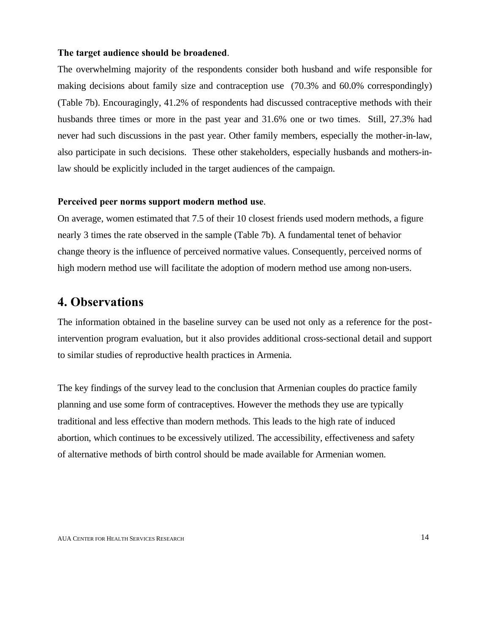### **The target audience should be broadened**.

The overwhelming majority of the respondents consider both husband and wife responsible for making decisions about family size and contraception use (70.3% and 60.0% correspondingly) (Table 7b). Encouragingly, 41.2% of respondents had discussed contraceptive methods with their husbands three times or more in the past year and 31.6% one or two times. Still, 27.3% had never had such discussions in the past year. Other family members, especially the mother-in-law, also participate in such decisions. These other stakeholders, especially husbands and mothers-inlaw should be explicitly included in the target audiences of the campaign.

#### **Perceived peer norms support modern method use**.

On average, women estimated that 7.5 of their 10 closest friends used modern methods, a figure nearly 3 times the rate observed in the sample (Table 7b). A fundamental tenet of behavior change theory is the influence of perceived normative values. Consequently, perceived norms of high modern method use will facilitate the adoption of modern method use among non-users.

# **4. Observations**

The information obtained in the baseline survey can be used not only as a reference for the postintervention program evaluation, but it also provides additional cross-sectional detail and support to similar studies of reproductive health practices in Armenia.

The key findings of the survey lead to the conclusion that Armenian couples do practice family planning and use some form of contraceptives. However the methods they use are typically traditional and less effective than modern methods. This leads to the high rate of induced abortion, which continues to be excessively utilized. The accessibility, effectiveness and safety of alternative methods of birth control should be made available for Armenian women.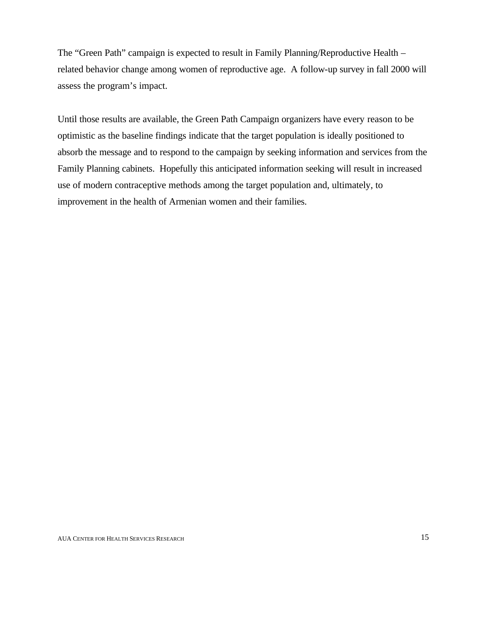The "Green Path" campaign is expected to result in Family Planning/Reproductive Health – related behavior change among women of reproductive age. A follow-up survey in fall 2000 will assess the program's impact.

Until those results are available, the Green Path Campaign organizers have every reason to be optimistic as the baseline findings indicate that the target population is ideally positioned to absorb the message and to respond to the campaign by seeking information and services from the Family Planning cabinets. Hopefully this anticipated information seeking will result in increased use of modern contraceptive methods among the target population and, ultimately, to improvement in the health of Armenian women and their families.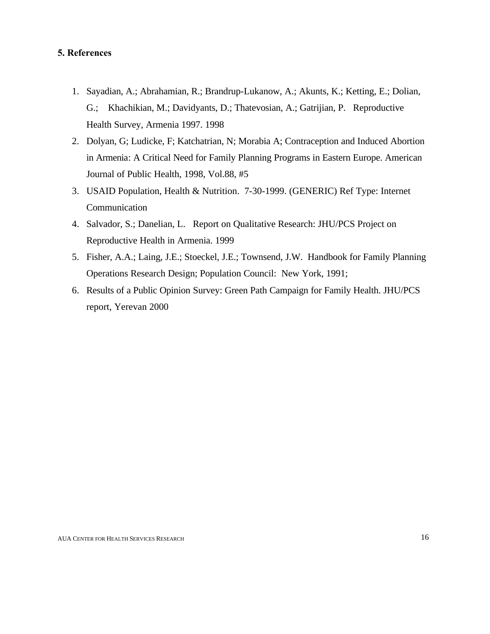## **5. References**

- 1. Sayadian, A.; Abrahamian, R.; Brandrup-Lukanow, A.; Akunts, K.; Ketting, E.; Dolian, G.; Khachikian, M.; Davidyants, D.; Thatevosian, A.; Gatrijian, P. Reproductive Health Survey, Armenia 1997. 1998
- 2. Dolyan, G; Ludicke, F; Katchatrian, N; Morabia A; Contraception and Induced Abortion in Armenia: A Critical Need for Family Planning Programs in Eastern Europe. American Journal of Public Health, 1998, Vol.88, #5
- 3. USAID Population, Health & Nutrition. 7-30-1999. (GENERIC) Ref Type: Internet Communication
- 4. Salvador, S.; Danelian, L. Report on Qualitative Research: JHU/PCS Project on Reproductive Health in Armenia. 1999
- 5. Fisher, A.A.; Laing, J.E.; Stoeckel, J.E.; Townsend, J.W. Handbook for Family Planning Operations Research Design; Population Council: New York, 1991;
- 6. Results of a Public Opinion Survey: Green Path Campaign for Family Health. JHU/PCS report, Yerevan 2000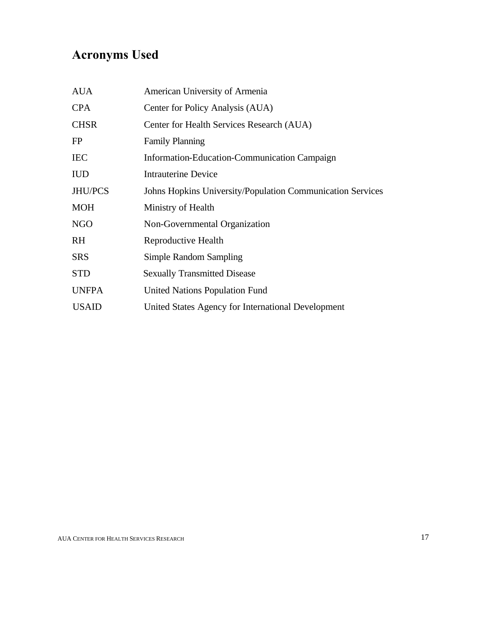# **Acronyms Used**

| <b>AUA</b>   | American University of Armenia                             |
|--------------|------------------------------------------------------------|
| <b>CPA</b>   | Center for Policy Analysis (AUA)                           |
| <b>CHSR</b>  | Center for Health Services Research (AUA)                  |
| FP           | <b>Family Planning</b>                                     |
| <b>IEC</b>   | Information-Education-Communication Campaign               |
| <b>IUD</b>   | <b>Intrauterine Device</b>                                 |
| JHU/PCS      | Johns Hopkins University/Population Communication Services |
| <b>MOH</b>   | Ministry of Health                                         |
| <b>NGO</b>   | Non-Governmental Organization                              |
| RH           | Reproductive Health                                        |
| <b>SRS</b>   | Simple Random Sampling                                     |
| <b>STD</b>   | <b>Sexually Transmitted Disease</b>                        |
| <b>UNFPA</b> | United Nations Population Fund                             |
| <b>USAID</b> | United States Agency for International Development         |
|              |                                                            |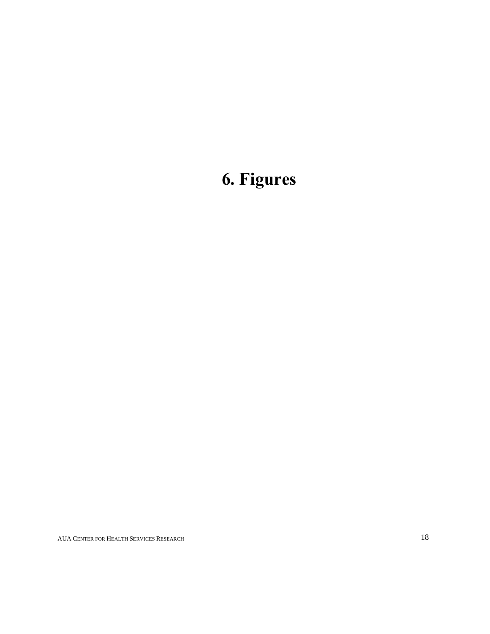# **6. Figures**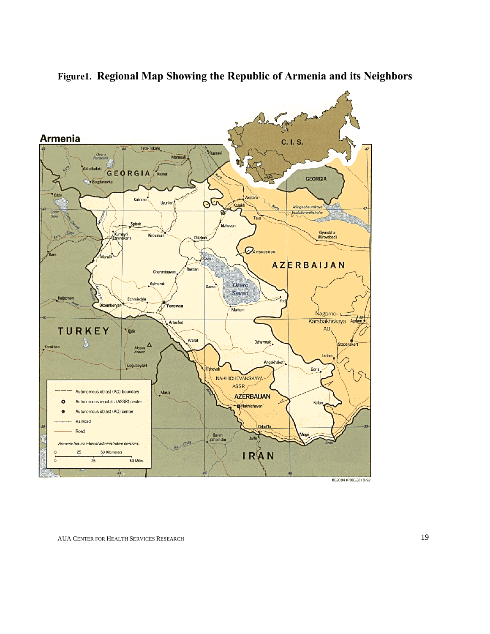

**Figure1. Regional Map Showing the Republic of Armenia and its Neighbors**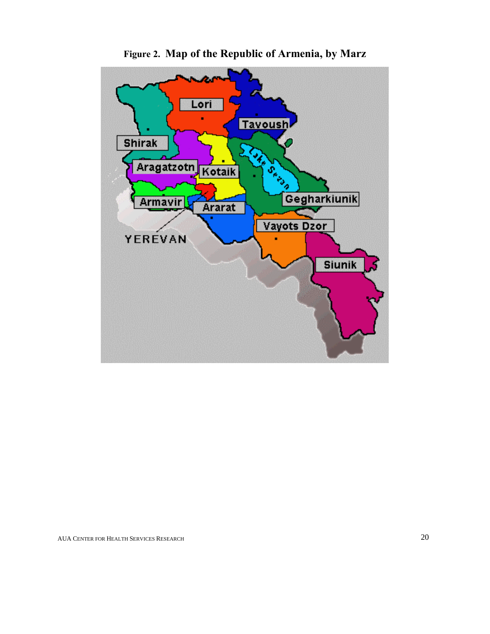

**Figure 2. Map of the Republic of Armenia, by Marz**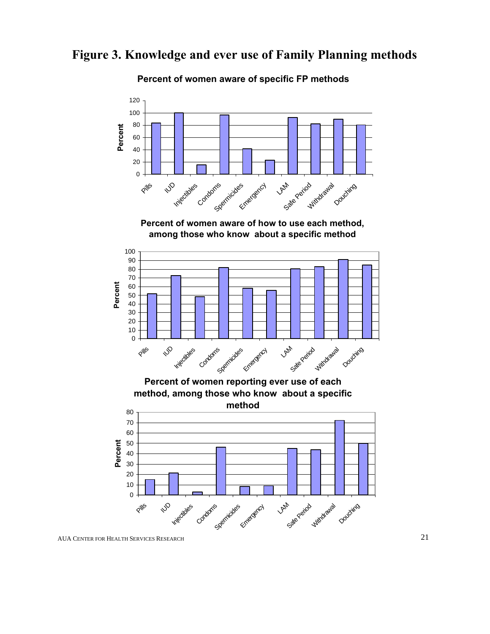# **Figure 3. Knowledge and ever use of Family Planning methods**

## **Percent of women aware of specific FP methods**



AUA CENTER FOR HEALTH SERVICES RESEARCH 21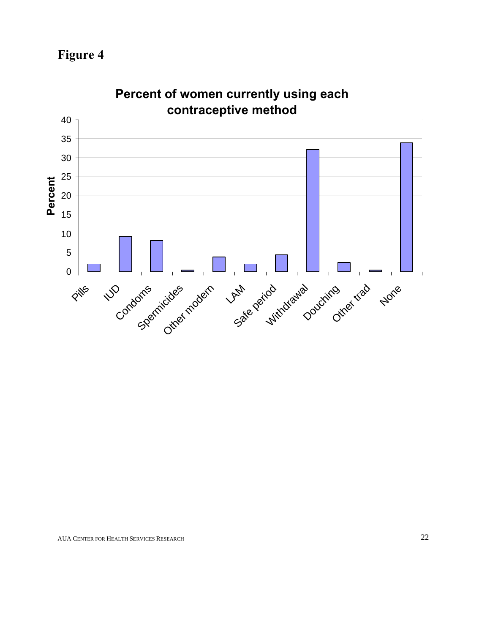**Figure 4**



**Percent of women currently using each**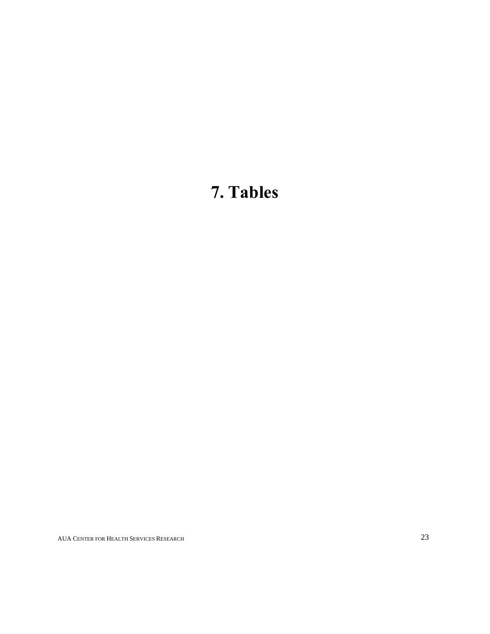# **7. Tables**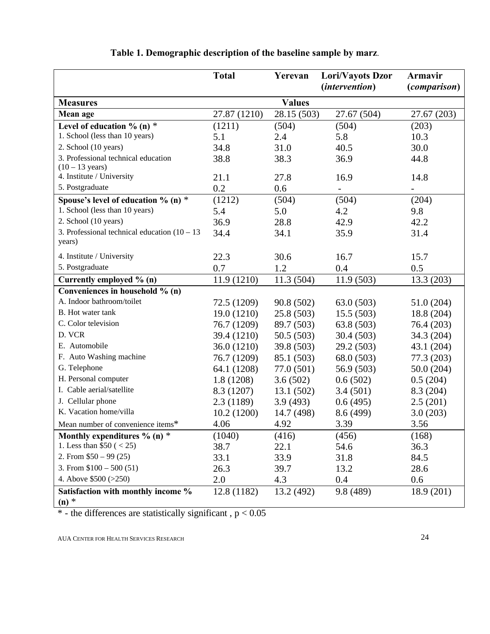|                                                 | <b>Total</b> | Yerevan       | Lori/Vayots Dzor      | <b>Armavir</b>           |
|-------------------------------------------------|--------------|---------------|-----------------------|--------------------------|
|                                                 |              |               | <i>(intervention)</i> | <i>(comparison)</i>      |
| <b>Measures</b>                                 |              | <b>Values</b> |                       |                          |
| Mean age                                        | 27.87 (1210) | 28.15 (503)   | 27.67 (504)           | 27.67 (203)              |
| Level of education $\%$ (n) $*$                 | (1211)       | (504)         | (504)                 | (203)                    |
| 1. School (less than 10 years)                  | 5.1          | 2.4           | 5.8                   | 10.3                     |
| 2. School (10 years)                            | 34.8         | 31.0          | 40.5                  | 30.0                     |
| 3. Professional technical education             | 38.8         | 38.3          | 36.9                  | 44.8                     |
| $(10 - 13 \text{ years})$                       |              |               |                       |                          |
| 4. Institute / University                       | 21.1         | 27.8          | 16.9                  | 14.8                     |
| 5. Postgraduate                                 | 0.2          | 0.6           |                       | $\overline{\phantom{0}}$ |
| Spouse's level of education $\%$ (n) $*$        | (1212)       | (504)         | (504)                 | (204)                    |
| 1. School (less than 10 years)                  | 5.4          | 5.0           | 4.2                   | 9.8                      |
| 2. School (10 years)                            | 36.9         | 28.8          | 42.9                  | 42.2                     |
| 3. Professional technical education $(10 - 13)$ | 34.4         | 34.1          | 35.9                  | 31.4                     |
| years)                                          |              |               |                       |                          |
| 4. Institute / University                       | 22.3         | 30.6          | 16.7                  | 15.7                     |
| 5. Postgraduate                                 | 0.7          | 1.2           | 0.4                   | 0.5                      |
| Currently employed % (n)                        | 11.9 (1210)  | 11.3(504)     | 11.9(503)             | 13.3 (203)               |
| Conveniences in household % (n)                 |              |               |                       |                          |
| A. Indoor bathroom/toilet                       | 72.5 (1209)  | 90.8 (502)    | 63.0 (503)            | 51.0 (204)               |
| B. Hot water tank                               | 19.0 (1210)  | 25.8 (503)    | 15.5(503)             | 18.8 (204)               |
| C. Color television                             | 76.7 (1209)  | 89.7 (503)    | 63.8 (503)            | 76.4 (203)               |
| D. VCR                                          | 39.4 (1210)  | 50.5 (503)    | 30.4(503)             | 34.3 (204)               |
| E. Automobile                                   | 36.0 (1210)  | 39.8 (503)    | 29.2 (503)            | 43.1 (204)               |
| F. Auto Washing machine                         | 76.7 (1209)  | 85.1 (503)    | 68.0 (503)            | 77.3 (203)               |
| G. Telephone                                    | 64.1 (1208)  | 77.0 (501)    | 56.9 (503)            | 50.0(204)                |
| H. Personal computer                            | 1.8(1208)    | 3.6(502)      | 0.6(502)              | 0.5(204)                 |
| I. Cable aerial/satellite                       | 8.3 (1207)   | 13.1(502)     | 3.4(501)              | 8.3 (204)                |
| J. Cellular phone                               | 2.3(1189)    | 3.9(493)      | 0.6(495)              | 2.5(201)                 |
| K. Vacation home/villa                          | 10.2(1200)   | 14.7 (498)    | 8.6 (499)             | 3.0(203)                 |
| Mean number of convenience items*               | 4.06         | 4.92          | 3.39                  | 3.56                     |
| Monthly expenditures $\%$ (n) $*$               | (1040)       | (416)         | (456)                 | (168)                    |
| 1. Less than $$50 (< 25)$                       | 38.7         | 22.1          | 54.6                  | 36.3                     |
| 2. From $$50 - 99(25)$                          | 33.1         | 33.9          | 31.8                  | 84.5                     |
| 3. From $$100 - 500(51)$                        | 26.3         | 39.7          | 13.2                  | 28.6                     |
| 4. Above \$500 (>250)                           | 2.0          | 4.3           | 0.4                   | 0.6                      |
| Satisfaction with monthly income %              | 12.8 (1182)  | 13.2 (492)    | 9.8 (489)             | 18.9 (201)               |
| $(n)$ *                                         |              |               |                       |                          |

# **Table 1. Demographic description of the baseline sample by marz**.

 $*$  - the differences are statistically significant,  $p < 0.05$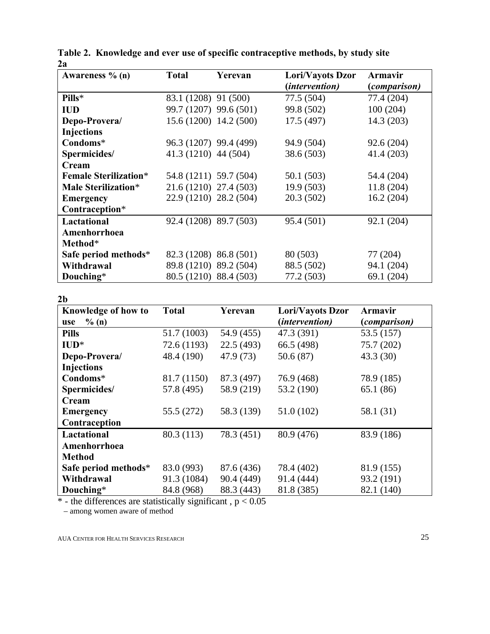| Awareness % (n)              | <b>Total</b>           | Yerevan | Lori/Vayots Dzor | Armavir             |
|------------------------------|------------------------|---------|------------------|---------------------|
|                              |                        |         | (intervention)   | <i>(comparison)</i> |
| Pills*                       | 83.1 (1208) 91 (500)   |         | 77.5 (504)       | 77.4 (204)          |
| <b>IUD</b>                   | 99.7 (1207) 99.6 (501) |         | 99.8 (502)       | 100(204)            |
| Depo-Provera/                | 15.6 (1200) 14.2 (500) |         | 17.5(497)        | 14.3 (203)          |
| <b>Injections</b>            |                        |         |                  |                     |
| Condoms*                     | 96.3 (1207) 99.4 (499) |         | 94.9 (504)       | 92.6(204)           |
| Spermicides/                 | 41.3 (1210) 44 (504)   |         | 38.6 (503)       | 41.4 (203)          |
| Cream                        |                        |         |                  |                     |
| <b>Female Sterilization*</b> | 54.8 (1211) 59.7 (504) |         | 50.1(503)        | 54.4 (204)          |
| Male Sterilization*          | 21.6 (1210) 27.4 (503) |         | 19.9(503)        | 11.8 (204)          |
| <b>Emergency</b>             | 22.9 (1210) 28.2 (504) |         | 20.3(502)        | 16.2(204)           |
| Contraception*               |                        |         |                  |                     |
| <b>Lactational</b>           | 92.4 (1208) 89.7 (503) |         | 95.4 (501)       | 92.1 (204)          |
| Amenhorrhoea                 |                        |         |                  |                     |
| Method*                      |                        |         |                  |                     |
| Safe period methods*         | 82.3 (1208) 86.8 (501) |         | 80 (503)         | 77 (204)            |
| Withdrawal                   | 89.8 (1210) 89.2 (504) |         | 88.5 (502)       | 94.1 (204)          |
| Douching*                    | 80.5 (1210) 88.4 (503) |         | 77.2 (503)       | 69.1 (204)          |

|    | Table 2. Knowledge and ever use of specific contraceptive methods, by study site |  |  |
|----|----------------------------------------------------------------------------------|--|--|
| 2a |                                                                                  |  |  |

## **2b**

| Knowledge of how to  | <b>Total</b> | Yerevan    | Lori/Vayots Dzor      | <b>Armavir</b> |
|----------------------|--------------|------------|-----------------------|----------------|
| % (n)<br>use         |              |            | <i>(intervention)</i> | (comparison)   |
| <b>Pills</b>         | 51.7 (1003)  | 54.9 (455) | 47.3 (391)            | 53.5 (157)     |
| $\mathbf{IID}^*$     | 72.6 (1193)  | 22.5(493)  | 66.5 (498)            | 75.7 (202)     |
| Depo-Provera/        | 48.4 (190)   | 47.9 (73)  | 50.6(87)              | 43.3(30)       |
| <b>Injections</b>    |              |            |                       |                |
| Condoms*             | 81.7 (1150)  | 87.3 (497) | 76.9 (468)            | 78.9 (185)     |
| Spermicides/         | 57.8 (495)   | 58.9 (219) | 53.2 (190)            | 65.1(86)       |
| Cream                |              |            |                       |                |
| <b>Emergency</b>     | 55.5 (272)   | 58.3 (139) | 51.0 (102)            | 58.1 (31)      |
| Contraception        |              |            |                       |                |
| Lactational          | 80.3 (113)   | 78.3 (451) | 80.9 (476)            | 83.9 (186)     |
| Amenhorrhoea         |              |            |                       |                |
| <b>Method</b>        |              |            |                       |                |
| Safe period methods* | 83.0 (993)   | 87.6 (436) | 78.4 (402)            | 81.9 (155)     |
| Withdrawal           | 91.3 (1084)  | 90.4 (449) | 91.4 (444)            | 93.2 (191)     |
| Douching*            | 84.8 (968)   | 88.3 (443) | 81.8 (385)            | 82.1 (140)     |

 $*$  - the differences are statistically significant,  $p < 0.05$ 

– among women aware of method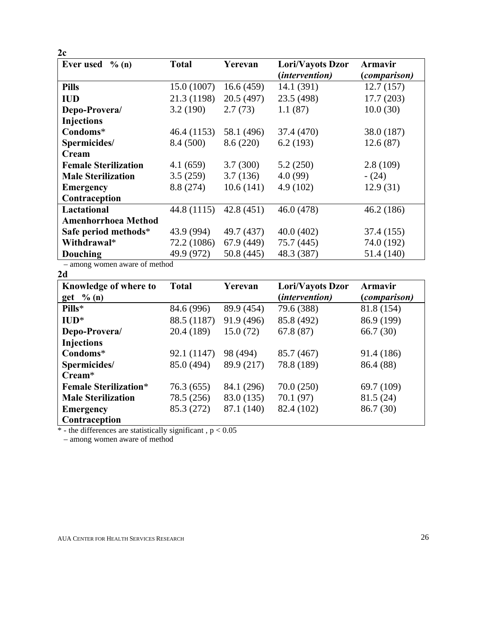| 2c                           |              |            |                  |                     |
|------------------------------|--------------|------------|------------------|---------------------|
| <b>Ever</b> used<br>$\%$ (n) | <b>Total</b> | Yerevan    | Lori/Vayots Dzor | Armavir             |
|                              |              |            | (intervention)   | <i>(comparison)</i> |
| <b>Pills</b>                 | 15.0(1007)   | 16.6(459)  | 14.1 (391)       | 12.7(157)           |
| <b>IUD</b>                   | 21.3 (1198)  | 20.5(497)  | 23.5 (498)       | 17.7(203)           |
| Depo-Provera/                | 3.2(190)     | 2.7(73)    | 1.1(87)          | 10.0(30)            |
| Injections                   |              |            |                  |                     |
| Condoms*                     | 46.4 (1153)  | 58.1 (496) | 37.4 (470)       | 38.0 (187)          |
| Spermicides/                 | 8.4 (500)    | 8.6 (220)  | 6.2(193)         | 12.6(87)            |
| Cream                        |              |            |                  |                     |
| <b>Female Sterilization</b>  | 4.1(659)     | 3.7(300)   | 5.2(250)         | 2.8(109)            |
| <b>Male Sterilization</b>    | 3.5(259)     | 3.7(136)   | 4.0(99)          | $- (24)$            |
| <b>Emergency</b>             | 8.8 (274)    | 10.6(141)  | 4.9(102)         | 12.9(31)            |
| Contraception                |              |            |                  |                     |
| Lactational                  | 44.8 (1115)  | 42.8(451)  | 46.0 (478)       | 46.2(186)           |
| <b>Amenhorrhoea Method</b>   |              |            |                  |                     |
| Safe period methods*         | 43.9 (994)   | 49.7 (437) | 40.0(402)        | 37.4 (155)          |
| Withdrawal*                  | 72.2 (1086)  | 67.9(449)  | 75.7 (445)       | 74.0 (192)          |
| Douching                     | 49.9 (972)   | 50.8(445)  | 48.3 (387)       | 51.4 (140)          |

– among women aware of method

| Knowledge of where to        | <b>Total</b> | Yerevan    | Lori/Vayots Dzor | <b>Armavir</b> |
|------------------------------|--------------|------------|------------------|----------------|
| $get \ \% (n)$               |              |            | (intervention)   | (comparison)   |
| Pills*                       | 84.6 (996)   | 89.9 (454) | 79.6 (388)       | 81.8 (154)     |
| $\mathbf{ID}^*$              | 88.5 (1187)  | 91.9 (496) | 85.8 (492)       | 86.9 (199)     |
| Depo-Provera/                | 20.4 (189)   | 15.0(72)   | 67.8(87)         | 66.7(30)       |
| Injections                   |              |            |                  |                |
| Condoms*                     | 92.1 (1147)  | 98 (494)   | 85.7 (467)       | 91.4 (186)     |
| Spermicides/                 | 85.0 (494)   | 89.9 (217) | 78.8 (189)       | 86.4 (88)      |
| $C$ ream $*$                 |              |            |                  |                |
| <b>Female Sterilization*</b> | 76.3 (655)   | 84.1 (296) | 70.0(250)        | 69.7 (109)     |
| <b>Male Sterilization</b>    | 78.5 (256)   | 83.0 (135) | 70.1(97)         | 81.5 (24)      |
| <b>Emergency</b>             | 85.3 (272)   | 87.1 (140) | 82.4 (102)       | 86.7 (30)      |
| Contraception                |              |            |                  |                |

 $*$  - the differences are statistically significant,  $p < 0.05$ 

– among women aware of method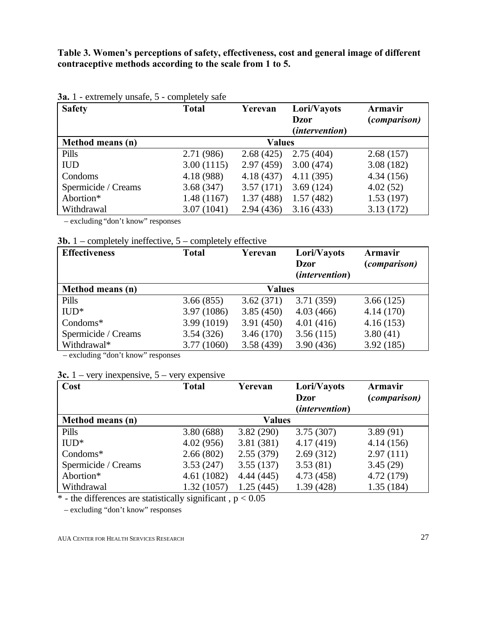**Table 3. Women's perceptions of safety, effectiveness, cost and general image of different contraceptive methods according to the scale from 1 to 5.**

| <b>Safety</b>       | <b>Total</b> | Yerevan       | Lori/Vayots<br><b>Dzor</b><br><i>(intervention)</i> | Armavir<br><i>(comparison)</i> |
|---------------------|--------------|---------------|-----------------------------------------------------|--------------------------------|
| Method means (n)    |              | <b>Values</b> |                                                     |                                |
| Pills               | 2.71 (986)   | 2.68(425)     | 2.75(404)                                           | 2.68(157)                      |
| <b>IUD</b>          | 3.00(1115)   | 2.97(459)     | 3.00(474)                                           | 3.08(182)                      |
| Condoms             | 4.18 (988)   | 4.18(437)     | 4.11(395)                                           | 4.34(156)                      |
| Spermicide / Creams | 3.68(347)    | 3.57(171)     | 3.69(124)                                           | 4.02(52)                       |
| Abortion*           | 1.48(1167)   | 1.37(488)     | 1.57(482)                                           | 1.53(197)                      |
| Withdrawal          | 3.07(1041)   | 2.94(436)     | 3.16(433)                                           | 3.13(172)                      |

## **3a.** 1 - extremely unsafe, 5 - completely safe

– excluding "don't know" responses

|  |  |  | <b>3b.</b> 1 – completely ineffective, $5$ – completely effective |  |  |  |  |
|--|--|--|-------------------------------------------------------------------|--|--|--|--|
|--|--|--|-------------------------------------------------------------------|--|--|--|--|

| <b>Effectiveness</b> | <b>Total</b> | Yerevan       | Lori/Vayots<br><b>Dzor</b><br><i>(intervention)</i> | Armavir<br><i>(comparison)</i> |
|----------------------|--------------|---------------|-----------------------------------------------------|--------------------------------|
| Method means (n)     |              | <b>Values</b> |                                                     |                                |
| Pills                | 3.66(855)    | 3.62(371)     | 3.71(359)                                           | 3.66(125)                      |
| $IUD*$               | 3.97 (1086)  | 3.85(450)     | 4.03(466)                                           | 4.14(170)                      |
| $Condoms^*$          | 3.99 (1019)  | 3.91(450)     | 4.01(416)                                           | 4.16(153)                      |
| Spermicide / Creams  | 3.54(326)    | 3.46(170)     | 3.56(115)                                           | 3.80(41)                       |
| Withdrawal*          | 3.77 (1060)  | 3.58(439)     | 3.90(436)                                           | 3.92(185)                      |

 – excluding "don't know" responses

## **3c.** 1 – very inexpensive, 5 – very expensive

| Cost                | <b>Total</b>  | Yerevan   | Lori/Vayots<br><b>Dzor</b> | Armavir<br><i>(comparison)</i> |
|---------------------|---------------|-----------|----------------------------|--------------------------------|
|                     |               |           | <i>(intervention)</i>      |                                |
| Method means (n)    | <b>Values</b> |           |                            |                                |
| Pills               | 3.80(688)     | 3.82(290) | 3.75(307)                  | 3.89(91)                       |
| $IUD*$              | 4.02(956)     | 3.81(381) | 4.17(419)                  | 4.14(156)                      |
| Condoms*            | 2.66(802)     | 2.55(379) | 2.69(312)                  | 2.97(111)                      |
| Spermicide / Creams | 3.53(247)     | 3.55(137) | 3.53(81)                   | 3.45(29)                       |
| Abortion*           | 4.61(1082)    | 4.44(445) | 4.73 (458)                 | 4.72 (179)                     |
| Withdrawal          | 1.32(1057)    | 1.25(445) | 1.39(428)                  | 1.35(184)                      |

 $*$  - the differences are statistically significant,  $p < 0.05$ 

– excluding "don't know" responses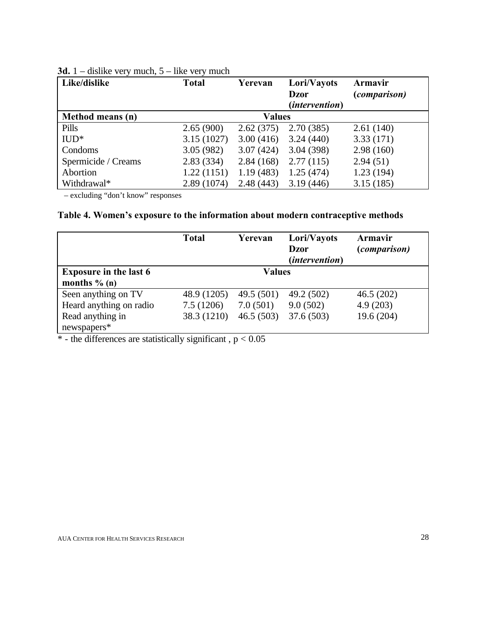| Like/dislike        | <b>Total</b> | Yerevan       | Lori/Vayots<br><b>Dzor</b><br><i>(intervention)</i> | Armavir<br><i>(comparison)</i> |
|---------------------|--------------|---------------|-----------------------------------------------------|--------------------------------|
| Method means (n)    |              | <b>Values</b> |                                                     |                                |
| Pills               | 2.65(900)    | 2.62(375)     | 2.70(385)                                           | 2.61(140)                      |
| $IUD*$              | 3.15(1027)   | 3.00(416)     | 3.24(440)                                           | 3.33(171)                      |
| Condoms             | 3.05(982)    | 3.07(424)     | 3.04(398)                                           | 2.98(160)                      |
| Spermicide / Creams | 2.83(334)    | 2.84(168)     | 2.77(115)                                           | 2.94(51)                       |
| Abortion            | 1.22(1151)   | 1.19(483)     | 1.25(474)                                           | 1.23(194)                      |
| Withdrawal*         | 2.89(1074)   | 2.48(443)     | 3.19(446)                                           | 3.15(185)                      |

## **3d.** 1 – dislike very much, 5 – like very much

– excluding "don't know" responses

## **Table 4. Women's exposure to the information about modern contraceptive methods**

|                                                  | <b>Total</b> | Yerevan       | Lori/Vayots<br><b>Dzor</b><br><i>(intervention)</i> | Armavir<br><i>(comparison)</i> |
|--------------------------------------------------|--------------|---------------|-----------------------------------------------------|--------------------------------|
| <b>Exposure in the last 6</b><br>months $\%$ (n) |              | <b>Values</b> |                                                     |                                |
| Seen anything on TV                              | 48.9 (1205)  | 49.5 $(501)$  | 49.2 (502)                                          | 46.5(202)                      |
| Heard anything on radio                          | 7.5(1206)    | 7.0(501)      | 9.0(502)                                            | 4.9(203)                       |
| Read anything in<br>newspapers*                  | 38.3 (1210)  | 46.5(503)     | 37.6(503)                                           | 19.6 (204)                     |

 $*$  - the differences are statistically significant,  $p < 0.05$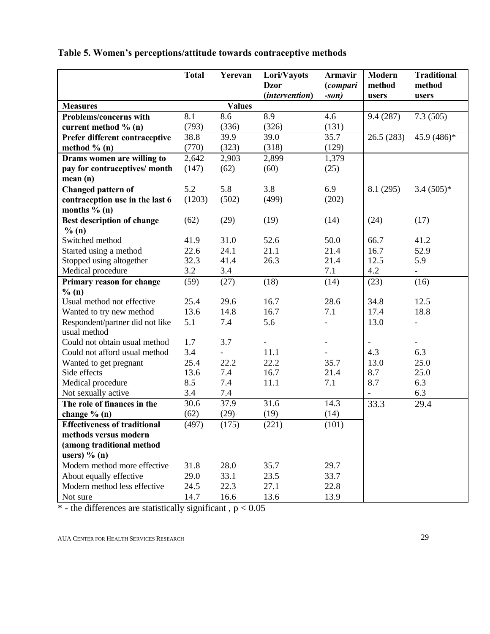|                                     | <b>Total</b> | Yerevan       | Lori/Vayots    | <b>Armavir</b> | <b>Modern</b> | <b>Traditional</b>       |
|-------------------------------------|--------------|---------------|----------------|----------------|---------------|--------------------------|
|                                     |              |               | <b>Dzor</b>    | (compari       | method        | method                   |
|                                     |              |               | (intervention) | $-son)$        | users         | users                    |
| <b>Measures</b>                     |              | <b>Values</b> |                |                |               |                          |
| Problems/concerns with              | 8.1          | 8.6           | 8.9            | 4.6            | 9.4(287)      | 7.3(505)                 |
| current method % (n)                | (793)        | (336)         | (326)          | (131)          |               |                          |
| Prefer different contraceptive      | 38.8         | 39.9          | 39.0           | 35.7           | 26.5(283)     | 45.9 (486)*              |
| method $% (n)$                      | (770)        | (323)         | (318)          | (129)          |               |                          |
| Drams women are willing to          | 2,642        | 2,903         | 2,899          | 1,379          |               |                          |
| pay for contraceptives/ month       | (147)        | (62)          | (60)           | (25)           |               |                          |
| mean (n)                            |              |               |                |                |               |                          |
| <b>Changed pattern of</b>           | 5.2          | 5.8           | 3.8            | 6.9            | 8.1 (295)     | $3.4(505)*$              |
| contraception use in the last 6     | (1203)       | (502)         | (499)          | (202)          |               |                          |
| months $% (n)$                      |              |               |                |                |               |                          |
| Best description of change          | (62)         | (29)          | (19)           | (14)           | (24)          | (17)                     |
| % (n)                               |              |               |                |                |               |                          |
| Switched method                     | 41.9         | 31.0          | 52.6           | 50.0           | 66.7          | 41.2                     |
| Started using a method              | 22.6         | 24.1          | 21.1           | 21.4           | 16.7          | 52.9                     |
| Stopped using altogether            | 32.3         | 41.4          | 26.3           | 21.4           | 12.5          | 5.9                      |
| Medical procedure                   | 3.2          | 3.4           |                | 7.1            | 4.2           | $\qquad \qquad -$        |
| Primary reason for change           | (59)         | (27)          | (18)           | (14)           | (23)          | (16)                     |
| % (n)                               |              |               |                |                |               |                          |
| Usual method not effective          | 25.4         | 29.6          | 16.7           | 28.6           | 34.8          | 12.5                     |
| Wanted to try new method            | 13.6         | 14.8          | 16.7           | 7.1            | 17.4          | 18.8                     |
| Respondent/partner did not like     | 5.1          | 7.4           | 5.6            |                | 13.0          | $\overline{\phantom{a}}$ |
| usual method                        |              |               |                |                |               |                          |
| Could not obtain usual method       | 1.7          | 3.7           |                |                |               |                          |
| Could not afford usual method       | 3.4          |               | 11.1           |                | 4.3           | 6.3                      |
| Wanted to get pregnant              | 25.4         | 22.2          | 22.2           | 35.7           | 13.0          | 25.0                     |
| Side effects                        | 13.6         | 7.4           | 16.7           | 21.4           | 8.7           | 25.0                     |
| Medical procedure                   | 8.5          | 7.4           | 11.1           | 7.1            | 8.7           | 6.3                      |
| Not sexually active                 | 3.4          | 7.4           |                |                |               | 6.3                      |
| The role of finances in the         | 30.6         | 37.9          | 31.6           | 14.3           | 33.3          | 29.4                     |
| change $% (n)$                      | (62)         | (29)          | (19)           | (14)           |               |                          |
| <b>Effectiveness of traditional</b> | (497)        | (175)         | (221)          | (101)          |               |                          |
| methods versus modern               |              |               |                |                |               |                          |
| (among traditional method           |              |               |                |                |               |                          |
| users) $\%$ (n)                     |              |               |                |                |               |                          |
| Modern method more effective        | 31.8         | 28.0          | 35.7           | 29.7           |               |                          |
| About equally effective             | 29.0         | 33.1          | 23.5           | 33.7           |               |                          |
| Modern method less effective        | 24.5         | 22.3          | 27.1           | 22.8           |               |                          |
| Not sure                            | 14.7         | 16.6          | 13.6           | 13.9           |               |                          |

## **Table 5. Women's perceptions/attitude towards contraceptive methods**

 $*$  - the differences are statistically significant,  $p < 0.05$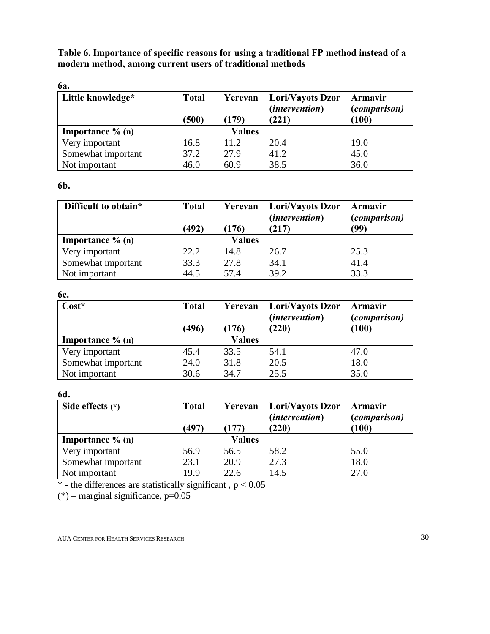**Table 6. Importance of specific reasons for using a traditional FP method instead of a modern method, among current users of traditional methods**

| <b>6a.</b>                 |              |               |                                           |                                |
|----------------------------|--------------|---------------|-------------------------------------------|--------------------------------|
| Little knowledge*          | <b>Total</b> | Yerevan       | Lori/Vayots Dzor<br><i>(intervention)</i> | Armavir<br><i>(comparison)</i> |
|                            | (500)        | (179)         | (221)                                     | (100)                          |
| <b>Importance</b> $\%$ (n) |              | <b>Values</b> |                                           |                                |
| Very important             | 16.8         | 11.2          | 20.4                                      | 19.0                           |
| Somewhat important         | 37.2         | 27.9          | 41.2                                      | 45.0                           |
| Not important              | 46.0         | 60.9          | 38.5                                      | 36.0                           |

## **6b.**

| Difficult to obtain* | <b>Total</b><br>(492) | Yerevan<br>(176) | Lori/Vayots Dzor<br><i>(intervention)</i><br>(217) | <b>Armavir</b><br><i>(comparison)</i><br>(99) |
|----------------------|-----------------------|------------------|----------------------------------------------------|-----------------------------------------------|
| Importance $\%$ (n)  |                       | Values           |                                                    |                                               |
| Very important       | 22.2                  | 14.8             | 26.7                                               | 25.3                                          |
| Somewhat important   | 33.3                  | 27.8             | 34.1                                               | 41.4                                          |
| Not important        | 44.5                  | 57.4             | 39.2                                               | 33.3                                          |

## **6c.**

| $Cost*$                    | <b>Total</b><br>(496) | Yerevan<br>(176) | Lori/Vayots Dzor<br><i>(intervention)</i><br>(220) | Armavir<br><i>(comparison)</i><br>(100) |
|----------------------------|-----------------------|------------------|----------------------------------------------------|-----------------------------------------|
| <b>Importance</b> $\%$ (n) |                       | Values           |                                                    |                                         |
| Very important             | 45.4                  | 33.5             | 54.1                                               | 47.0                                    |
| Somewhat important         | 24.0                  | 31.8             | 20.5                                               | 18.0                                    |
| Not important              | 30.6                  | 34.7             | 25.5                                               | 35.0                                    |

## **6d.**

| Side effects $(*)$         | <b>Total</b><br>(497) | Yerevan<br>(177) | Lori/Vayots Dzor<br><i>(intervention)</i><br>(220) | <b>Armavir</b><br><i>(comparison)</i><br>(100) |
|----------------------------|-----------------------|------------------|----------------------------------------------------|------------------------------------------------|
| <b>Importance</b> $\%$ (n) |                       | Values           |                                                    |                                                |
| Very important             | 56.9                  | 56.5             | 58.2                                               | 55.0                                           |
| Somewhat important         | 23.1                  | 20.9             | 27.3                                               | 18.0                                           |
| Not important              | 19.9                  | 22.6             | 14.5                                               | 27.0                                           |

 $*$  - the differences are statistically significant,  $p < 0.05$ 

 $(*)$  – marginal significance, p=0.05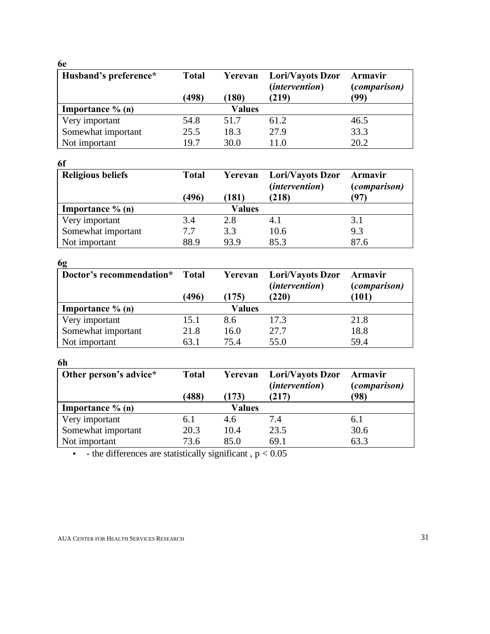## **6e**

| Husband's preference*      | <b>Total</b> | Yerevan       | Lori/Vayots Dzor<br>(intervention) | Armavir<br><i>(comparison)</i> |
|----------------------------|--------------|---------------|------------------------------------|--------------------------------|
|                            | (498)        | (180)         | (219)                              | (99)                           |
| <b>Importance</b> $\%$ (n) |              | <b>Values</b> |                                    |                                |
| Very important             | 54.8         | 51.7          | 61.2                               | 46.5                           |
| Somewhat important         | 25.5         | 18.3          | 27.9                               | 33.3                           |
| Not important              | 19.7         | 30.0          | 11.0                               | 20.2                           |

| 6f                       |              |               |                                           |                                |
|--------------------------|--------------|---------------|-------------------------------------------|--------------------------------|
| <b>Religious beliefs</b> | <b>Total</b> | Yerevan       | Lori/Vayots Dzor<br><i>(intervention)</i> | Armavir<br><i>(comparison)</i> |
|                          | (496)        | (181          | (218)                                     | (97)                           |
| Importance $\%$ (n)      |              | <b>Values</b> |                                           |                                |
| Very important           | 3.4          | 2.8           | 4.1                                       | 3.1                            |
| Somewhat important       | 7.7          | 3.3           | 10.6                                      | 9.3                            |
| Not important            | 88.9         | 93.9          | 85.3                                      | 87.6                           |

## **6g**

| - 5<br>Doctor's recommendation* Total |       | Yerevan | Lori/Vayots Dzor<br><i>(intervention)</i> | Armavir<br><i>(comparison)</i> |
|---------------------------------------|-------|---------|-------------------------------------------|--------------------------------|
|                                       | (496) | (175)   | (220)                                     | (101)                          |
| <b>Importance</b> $\%$ (n)            |       | Values  |                                           |                                |
| Very important                        | 15.1  | 8.6     | 17.3                                      | 21.8                           |
| Somewhat important                    | 21.8  | 16.0    | 27.7                                      | 18.8                           |
| Not important                         | 63.1  | 75.4    | 55.0                                      | 59.4                           |

## **6h**

| Other person's advice* | <b>Total</b><br>(488) | Yerevan<br>(173) | Lori/Vayots Dzor<br>(intervention)<br>(217) | <b>Armavir</b><br><i>(comparison)</i><br>(98) |
|------------------------|-----------------------|------------------|---------------------------------------------|-----------------------------------------------|
| Importance $\%$ (n)    |                       | Values           |                                             |                                               |
| Very important         | 6.1                   | 4.6              | 7.4                                         | 6.1                                           |
| Somewhat important     | 20.3                  | 10.4             | 23.5                                        | 30.6                                          |
| Not important          | 73.6                  | 85.0             | 69.1                                        | 63.3                                          |

• - the differences are statistically significant,  $p < 0.05$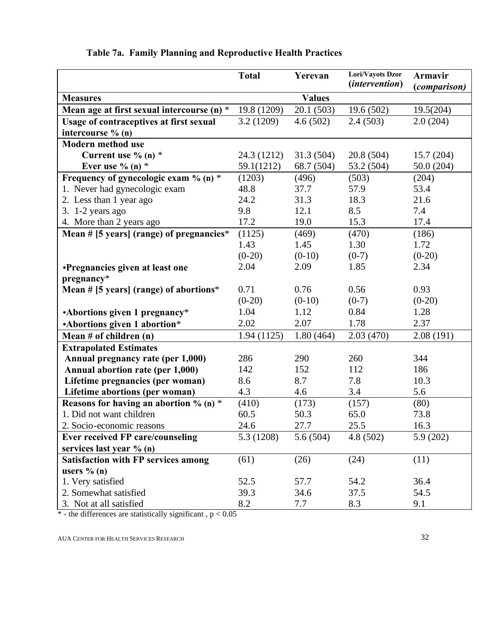|                                                  | <b>Total</b> | Yerevan       | Lori/Vayots Dzor      | <b>Armavir</b> |
|--------------------------------------------------|--------------|---------------|-----------------------|----------------|
|                                                  |              |               | <i>(intervention)</i> | (comparison)   |
| <b>Measures</b>                                  |              | <b>Values</b> |                       |                |
| Mean age at first sexual intercourse (n) *       | 19.8 (1209)  | 20.1(503)     | 19.6(502)             | 19.5(204)      |
| <b>Usage of contraceptives at first sexual</b>   | 3.2(1209)    | 4.6(502)      | 2.4(503)              | 2.0(204)       |
| intercourse % (n)                                |              |               |                       |                |
| <b>Modern method use</b>                         |              |               |                       |                |
| Current use $\%$ (n) $*$                         | 24.3 (1212)  | 31.3(504)     | 20.8(504)             | 15.7(204)      |
| Ever use $\%$ (n) $*$                            | 59.1(1212)   | 68.7 (504)    | 53.2 (504)            | 50.0(204)      |
| Frequency of gynecologic exam % (n) *            | (1203)       | (496)         | (503)                 | (204)          |
| 1. Never had gynecologic exam                    | 48.8         | 37.7          | 57.9                  | 53.4           |
| 2. Less than 1 year ago                          | 24.2         | 31.3          | 18.3                  | 21.6           |
| 3. 1-2 years ago                                 | 9.8          | 12.1          | 8.5                   | 7.4            |
| 4. More than 2 years ago                         | 17.2         | 19.0          | 15.3                  | 17.4           |
| Mean # [5 years] (range) of pregnancies*         | (1125)       | (469)         | (470)                 | (186)          |
|                                                  | 1.43         | 1.45          | 1.30                  | 1.72           |
|                                                  | $(0-20)$     | $(0-10)$      | $(0-7)$               | $(0-20)$       |
| Pregnancies given at least one                   | 2.04         | 2.09          | 1.85                  | 2.34           |
| pregnancy*                                       |              |               |                       |                |
| Mean # $[5 \text{ years}]$ (range) of abortions* | 0.71         | 0.76          | 0.56                  | 0.93           |
|                                                  | $(0-20)$     | $(0-10)$      | $(0-7)$               | $(0-20)$       |
| • Abortions given 1 pregnancy*                   | 1.04         | 1.12          | 0.84                  | 1.28           |
| -Abortions given 1 abortion*                     | 2.02         | 2.07          | 1.78                  | 2.37           |
| Mean $#$ of children $(n)$                       | 1.94(1125)   | 1.80(464)     | 2.03(470)             | 2.08(191)      |
| <b>Extrapolated Estimates</b>                    |              |               |                       |                |
| Annual pregnancy rate (per 1,000)                | 286          | 290           | 260                   | 344            |
| Annual abortion rate (per 1,000)                 | 142          | 152           | 112                   | 186            |
| Lifetime pregnancies (per woman)                 | 8.6          | 8.7           | 7.8                   | 10.3           |
| Lifetime abortions (per woman)                   | 4.3          | 4.6           | 3.4                   | 5.6            |
| Reasons for having an abortion % (n) $*$         | (410)        | (173)         | (157)                 | (80)           |
| 1. Did not want children                         | 60.5         | 50.3          | 65.0                  | 73.8           |
| 2. Socio-economic reasons                        | 24.6         | 27.7          | 25.5                  | 16.3           |
| <b>Ever received FP care/counseling</b>          | 5.3 (1208)   | 5.6(504)      | 4.8(502)              | 5.9(202)       |
| services last year % (n)                         |              |               |                       |                |
| <b>Satisfaction with FP services among</b>       | (61)         | (26)          | (24)                  | (11)           |
| users $\%$ (n)                                   |              |               |                       |                |
| 1. Very satisfied                                | 52.5         | 57.7          | 54.2                  | 36.4           |
| 2. Somewhat satisfied                            | 39.3         | 34.6          | 37.5                  | 54.5           |
| 3. Not at all satisfied                          | 8.2          | 7.7           | 8.3                   | 9.1            |

# **Table 7a. Family Planning and Reproductive Health Practices**

 $*$  - the differences are statistically significant,  $p < 0.05$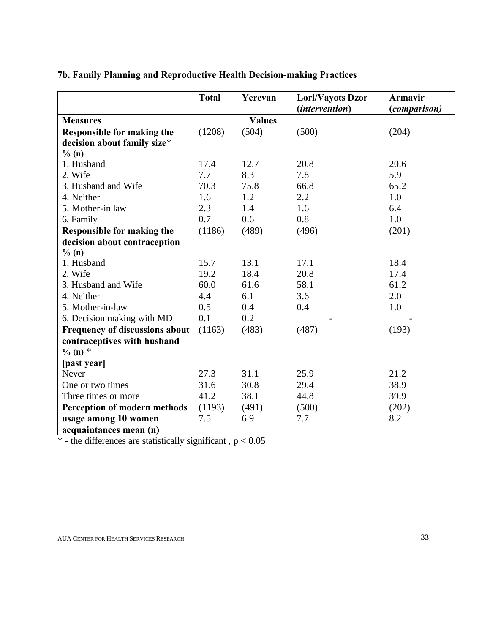|                                       | <b>Total</b> | Yerevan       | Lori/Vayots Dzor<br><i>(intervention)</i> | Armavir<br><i>(comparison)</i> |
|---------------------------------------|--------------|---------------|-------------------------------------------|--------------------------------|
| <b>Measures</b>                       |              | <b>Values</b> |                                           |                                |
| <b>Responsible for making the</b>     | (1208)       | (504)         | (500)                                     | (204)                          |
| decision about family size*           |              |               |                                           |                                |
| % (n)                                 |              |               |                                           |                                |
| 1. Husband                            | 17.4         | 12.7          | 20.8                                      | 20.6                           |
| 2. Wife                               | 7.7          | 8.3           | 7.8                                       | 5.9                            |
| 3. Husband and Wife                   | 70.3         | 75.8          | 66.8                                      | 65.2                           |
| 4. Neither                            | 1.6          | 1.2           | 2.2                                       | 1.0                            |
| 5. Mother-in law                      | 2.3          | 1.4           | 1.6                                       | 6.4                            |
| 6. Family                             | 0.7          | 0.6           | 0.8                                       | 1.0                            |
| <b>Responsible for making the</b>     | (1186)       | (489)         | (496)                                     | (201)                          |
| decision about contraception          |              |               |                                           |                                |
| $\%$ (n)                              |              |               |                                           |                                |
| 1. Husband                            | 15.7         | 13.1          | 17.1                                      | 18.4                           |
| 2. Wife                               | 19.2         | 18.4          | 20.8                                      | 17.4                           |
| 3. Husband and Wife                   | 60.0         | 61.6          | 58.1                                      | 61.2                           |
| 4. Neither                            | 4.4          | 6.1           | 3.6                                       | 2.0                            |
| 5. Mother-in-law                      | 0.5          | 0.4           | 0.4                                       | 1.0                            |
| 6. Decision making with MD            | 0.1          | 0.2           |                                           |                                |
| <b>Frequency of discussions about</b> | (1163)       | (483)         | (487)                                     | (193)                          |
| contraceptives with husband           |              |               |                                           |                                |
| $\%$ (n) $*$                          |              |               |                                           |                                |
| [past year]                           |              |               |                                           |                                |
| Never                                 | 27.3         | 31.1          | 25.9                                      | 21.2                           |
| One or two times                      | 31.6         | 30.8          | 29.4                                      | 38.9                           |
| Three times or more                   | 41.2         | 38.1          | 44.8                                      | 39.9                           |
| Perception of modern methods          | (1193)       | (491)         | (500)                                     | (202)                          |
| usage among 10 women                  | 7.5          | 6.9           | 7.7                                       | 8.2                            |
| acquaintances mean (n)                |              |               |                                           |                                |

# **7b. Family Planning and Reproductive Health Decision-making Practices**

 $*$  - the differences are statistically significant,  $p < 0.05$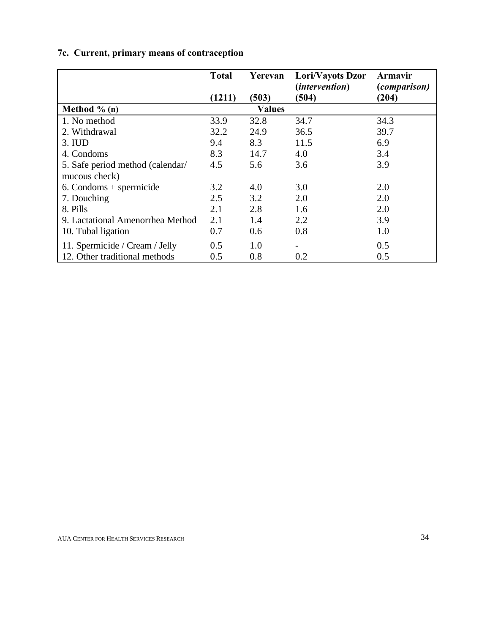## **7c. Current, primary means of contraception**

|                                  | <b>Total</b> | Yerevan       | Lori/Vayots Dzor      | Armavir             |
|----------------------------------|--------------|---------------|-----------------------|---------------------|
|                                  |              |               | <i>(intervention)</i> | <i>(comparison)</i> |
|                                  | (1211)       | (503)         | (504)                 | (204)               |
| Method $\%$ (n)                  |              | <b>Values</b> |                       |                     |
| 1. No method                     | 33.9         | 32.8          | 34.7                  | 34.3                |
| 2. Withdrawal                    | 32.2         | 24.9          | 36.5                  | 39.7                |
| 3. IUD                           | 9.4          | 8.3           | 11.5                  | 6.9                 |
| 4. Condoms                       | 8.3          | 14.7          | 4.0                   | 3.4                 |
| 5. Safe period method (calendar/ | 4.5          | 5.6           | 3.6                   | 3.9                 |
| mucous check)                    |              |               |                       |                     |
| $6.$ Condoms + spermicide        | 3.2          | 4.0           | 3.0                   | 2.0                 |
| 7. Douching                      | 2.5          | 3.2           | 2.0                   | 2.0                 |
| 8. Pills                         | 2.1          | 2.8           | 1.6                   | 2.0                 |
| 9. Lactational Amenorrhea Method | 2.1          | 1.4           | 2.2                   | 3.9                 |
| 10. Tubal ligation               | 0.7          | 0.6           | 0.8                   | 1.0                 |
| 11. Spermicide / Cream / Jelly   | 0.5          | 1.0           |                       | 0.5                 |
| 12. Other traditional methods    | 0.5          | 0.8           | 0.2                   | 0.5                 |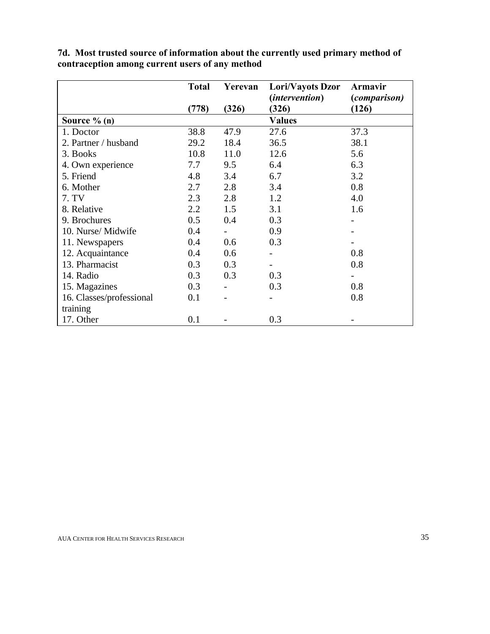|                          | <b>Total</b> | Yerevan | Lori/Vayots Dzor      | Armavir             |
|--------------------------|--------------|---------|-----------------------|---------------------|
|                          |              |         | <i>(intervention)</i> | <i>(comparison)</i> |
|                          | (778)        | (326)   | (326)                 | (126)               |
| Source $\%$ (n)          |              |         | <b>Values</b>         |                     |
| 1. Doctor                | 38.8         | 47.9    | 27.6                  | 37.3                |
| 2. Partner / husband     | 29.2         | 18.4    | 36.5                  | 38.1                |
| 3. Books                 | 10.8         | 11.0    | 12.6                  | 5.6                 |
| 4. Own experience        | 7.7          | 9.5     | 6.4                   | 6.3                 |
| 5. Friend                | 4.8          | 3.4     | 6.7                   | 3.2                 |
| 6. Mother                | 2.7          | 2.8     | 3.4                   | 0.8                 |
| 7. TV                    | 2.3          | 2.8     | 1.2                   | 4.0                 |
| 8. Relative              | 2.2          | 1.5     | 3.1                   | 1.6                 |
| 9. Brochures             | 0.5          | 0.4     | 0.3                   |                     |
| 10. Nurse/Midwife        | 0.4          |         | 0.9                   |                     |
| 11. Newspapers           | 0.4          | 0.6     | 0.3                   |                     |
| 12. Acquaintance         | 0.4          | 0.6     |                       | 0.8                 |
| 13. Pharmacist           | 0.3          | 0.3     |                       | 0.8                 |
| 14. Radio                | 0.3          | 0.3     | 0.3                   |                     |
| 15. Magazines            | 0.3          |         | 0.3                   | 0.8                 |
| 16. Classes/professional | 0.1          |         |                       | 0.8                 |
| training                 |              |         |                       |                     |
| 17. Other                | 0.1          |         | 0.3                   |                     |

**7d. Most trusted source of information about the currently used primary method of contraception among current users of any method**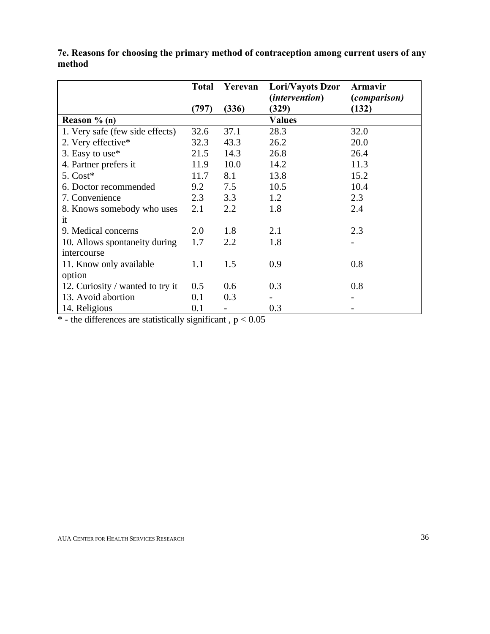|                                  | <b>Total</b> | Yerevan | Lori/Vayots Dzor      | <b>Armavir</b>      |
|----------------------------------|--------------|---------|-----------------------|---------------------|
|                                  |              |         | <i>(intervention)</i> | <i>(comparison)</i> |
|                                  | (797)        | (336)   | (329)                 | (132)               |
| Reason $% (n)$                   |              |         | <b>Values</b>         |                     |
| 1. Very safe (few side effects)  | 32.6         | 37.1    | 28.3                  | 32.0                |
| 2. Very effective*               | 32.3         | 43.3    | 26.2                  | 20.0                |
| 3. Easy to use*                  | 21.5         | 14.3    | 26.8                  | 26.4                |
| 4. Partner prefers it            | 11.9         | 10.0    | 14.2                  | 11.3                |
| $5. \text{Cost}^*$               | 11.7         | 8.1     | 13.8                  | 15.2                |
| 6. Doctor recommended            | 9.2          | 7.5     | 10.5                  | 10.4                |
| 7. Convenience                   | 2.3          | 3.3     | 1.2                   | 2.3                 |
| 8. Knows somebody who uses       | 2.1          | 2.2     | 1.8                   | 2.4                 |
| it                               |              |         |                       |                     |
| 9. Medical concerns              | 2.0          | 1.8     | 2.1                   | 2.3                 |
| 10. Allows spontaneity during    | 1.7          | 2.2     | 1.8                   |                     |
| intercourse                      |              |         |                       |                     |
| 11. Know only available          | 1.1          | 1.5     | 0.9                   | 0.8                 |
| option                           |              |         |                       |                     |
| 12. Curiosity / wanted to try it | 0.5          | 0.6     | 0.3                   | 0.8                 |
| 13. Avoid abortion               | 0.1          | 0.3     |                       |                     |
| 14. Religious                    | 0.1          |         | 0.3                   |                     |

**7e. Reasons for choosing the primary method of contraception among current users of any method**

 $*$  - the differences are statistically significant,  $p < 0.05$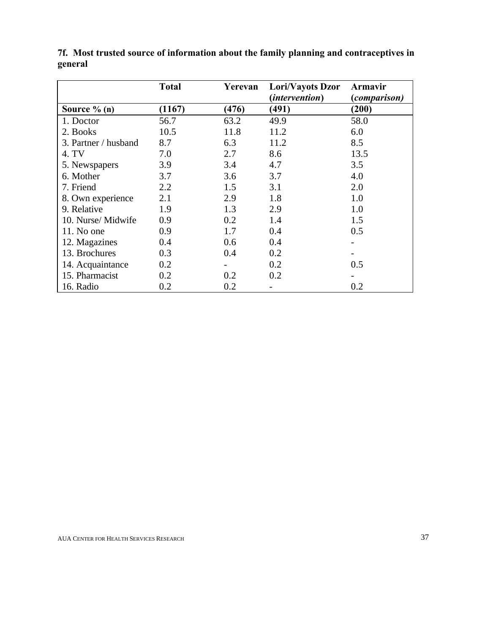|                      | <b>Total</b> | Yerevan | Lori/Vayots Dzor | <b>Armavir</b> |
|----------------------|--------------|---------|------------------|----------------|
|                      |              |         | (intervention)   | (comparison)   |
| Source $\%$ (n)      | (1167)       | (476)   | (491)            | (200)          |
| 1. Doctor            | 56.7         | 63.2    | 49.9             | 58.0           |
| 2. Books             | 10.5         | 11.8    | 11.2             | 6.0            |
| 3. Partner / husband | 8.7          | 6.3     | 11.2             | 8.5            |
| 4. TV                | 7.0          | 2.7     | 8.6              | 13.5           |
| 5. Newspapers        | 3.9          | 3.4     | 4.7              | 3.5            |
| 6. Mother            | 3.7          | 3.6     | 3.7              | 4.0            |
| 7. Friend            | 2.2          | 1.5     | 3.1              | 2.0            |
| 8. Own experience    | 2.1          | 2.9     | 1.8              | 1.0            |
| 9. Relative          | 1.9          | 1.3     | 2.9              | 1.0            |
| 10. Nurse/Midwife    | 0.9          | 0.2     | 1.4              | 1.5            |
| $11.$ No one         | 0.9          | 1.7     | 0.4              | 0.5            |
| 12. Magazines        | 0.4          | 0.6     | 0.4              |                |
| 13. Brochures        | 0.3          | 0.4     | 0.2              |                |
| 14. Acquaintance     | 0.2          |         | 0.2              | 0.5            |
| 15. Pharmacist       | 0.2          | 0.2     | 0.2              |                |
| 16. Radio            | 0.2          | 0.2     |                  | 0.2            |

**7f. Most trusted source of information about the family planning and contraceptives in general**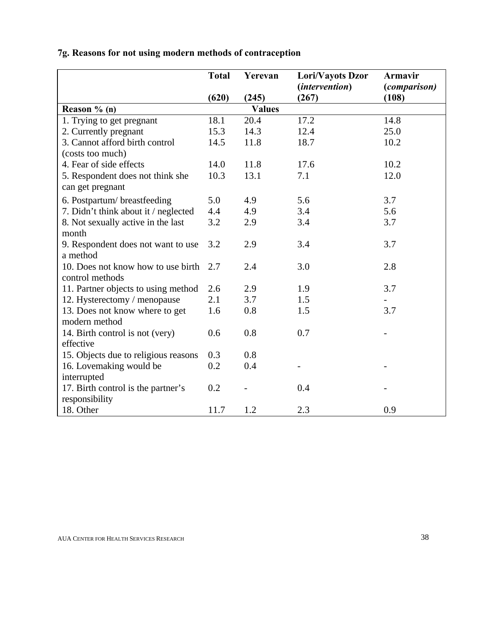|  |  |  | 7g. Reasons for not using modern methods of contraception |  |  |
|--|--|--|-----------------------------------------------------------|--|--|
|  |  |  |                                                           |  |  |

|                                      | <b>Total</b> | Yerevan       | Lori/Vayots Dzor                 | Armavir                      |
|--------------------------------------|--------------|---------------|----------------------------------|------------------------------|
|                                      | (620)        | (245)         | ( <i>intervention</i> )<br>(267) | <i>(comparison)</i><br>(108) |
| Reason $% (n)$                       |              | <b>Values</b> |                                  |                              |
| 1. Trying to get pregnant            | 18.1         | 20.4          | 17.2                             | 14.8                         |
| 2. Currently pregnant                | 15.3         | 14.3          | 12.4                             | 25.0                         |
| 3. Cannot afford birth control       | 14.5         | 11.8          | 18.7                             | 10.2                         |
| (costs too much)                     |              |               |                                  |                              |
| 4. Fear of side effects              | 14.0         | 11.8          | 17.6                             | 10.2                         |
| 5. Respondent does not think she     | 10.3         | 13.1          | 7.1                              | 12.0                         |
| can get pregnant                     |              |               |                                  |                              |
| 6. Postpartum/breastfeeding          | 5.0          | 4.9           | 5.6                              | 3.7                          |
| 7. Didn't think about it / neglected | 4.4          | 4.9           | 3.4                              | 5.6                          |
| 8. Not sexually active in the last   | 3.2          | 2.9           | 3.4                              | 3.7                          |
| month                                |              |               |                                  |                              |
| 9. Respondent does not want to use   | 3.2          | 2.9           | 3.4                              | 3.7                          |
| a method                             |              |               |                                  |                              |
| 10. Does not know how to use birth   | 2.7          | 2.4           | 3.0                              | 2.8                          |
| control methods                      |              |               |                                  |                              |
| 11. Partner objects to using method  | 2.6          | 2.9           | 1.9                              | 3.7                          |
| 12. Hysterectomy / menopause         | 2.1          | 3.7           | 1.5                              |                              |
| 13. Does not know where to get       | 1.6          | 0.8           | 1.5                              | 3.7                          |
| modern method                        |              |               |                                  |                              |
| 14. Birth control is not (very)      | 0.6          | 0.8           | 0.7                              |                              |
| effective                            |              |               |                                  |                              |
| 15. Objects due to religious reasons | 0.3          | 0.8           |                                  |                              |
| 16. Lovemaking would be              | 0.2          | 0.4           |                                  |                              |
| interrupted                          |              |               |                                  |                              |
| 17. Birth control is the partner's   | 0.2          |               | 0.4                              |                              |
| responsibility                       |              |               |                                  |                              |
| 18. Other                            | 11.7         | 1.2           | 2.3                              | 0.9                          |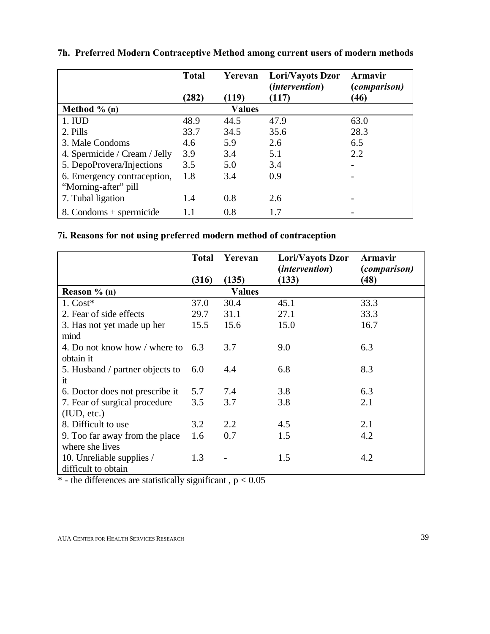|                               | <b>Total</b> | Yerevan       | Lori/Vayots Dzor<br><i>(intervention)</i> | Armavir<br><i>(comparison)</i> |
|-------------------------------|--------------|---------------|-------------------------------------------|--------------------------------|
|                               | (282)        | (119)         | (117)                                     | (46)                           |
| Method $\%$ (n)               |              | <b>Values</b> |                                           |                                |
| 1. IUD                        | 48.9         | 44.5          | 47.9                                      | 63.0                           |
| 2. Pills                      | 33.7         | 34.5          | 35.6                                      | 28.3                           |
| 3. Male Condoms               | 4.6          | 5.9           | 2.6                                       | 6.5                            |
| 4. Spermicide / Cream / Jelly | 3.9          | 3.4           | 5.1                                       | 2.2                            |
| 5. DepoProvera/Injections     | 3.5          | 5.0           | 3.4                                       |                                |
| 6. Emergency contraception,   | 1.8          | 3.4           | 0.9                                       |                                |
| "Morning-after" pill          |              |               |                                           |                                |
| 7. Tubal ligation             | 1.4          | 0.8           | 2.6                                       |                                |
| 8. Condoms + spermicide       | 1.1          | 0.8           | 1.7                                       |                                |

**7h. Preferred Modern Contraceptive Method among current users of modern methods**

# **7i. Reasons for not using preferred modern method of contraception**

|                                 | <b>Total</b> | Yerevan       | Lori/Vayots Dzor      | Armavir      |
|---------------------------------|--------------|---------------|-----------------------|--------------|
|                                 |              |               | <i>(intervention)</i> | (comparison) |
|                                 | (316)        | (135)         | (133)                 | (48)         |
| Reason $% (n)$                  |              | <b>Values</b> |                       |              |
| $1. \text{Cost}^*$              | 37.0         | 30.4          | 45.1                  | 33.3         |
| 2. Fear of side effects         | 29.7         | 31.1          | 27.1                  | 33.3         |
| 3. Has not yet made up her      | 15.5         | 15.6          | 15.0                  | 16.7         |
| mind                            |              |               |                       |              |
| 4. Do not know how / where to   | 6.3          | 3.7           | 9.0                   | 6.3          |
| obtain it                       |              |               |                       |              |
| 5. Husband / partner objects to | 6.0          | 4.4           | 6.8                   | 8.3          |
| it                              |              |               |                       |              |
| 6. Doctor does not prescribe it | 5.7          | 7.4           | 3.8                   | 6.3          |
| 7. Fear of surgical procedure   | 3.5          | 3.7           | 3.8                   | 2.1          |
| (IUD, etc.)                     |              |               |                       |              |
| 8. Difficult to use             | 3.2          | 2.2           | 4.5                   | 2.1          |
| 9. Too far away from the place  | 1.6          | 0.7           | 1.5                   | 4.2          |
| where she lives                 |              |               |                       |              |
| 10. Unreliable supplies /       | 1.3          |               | 1.5                   | 4.2          |
| difficult to obtain             |              |               |                       |              |

 $*$  - the differences are statistically significant,  $p < 0.05$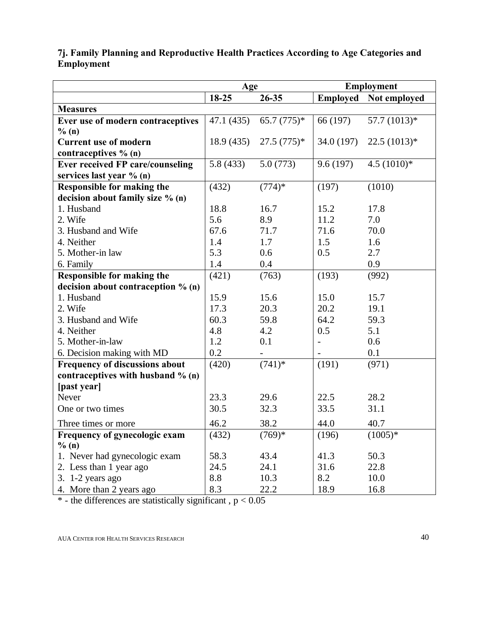|                                         | Age        |              | <b>Employment</b> |                              |
|-----------------------------------------|------------|--------------|-------------------|------------------------------|
|                                         | 18-25      | $26 - 35$    |                   | <b>Employed</b> Not employed |
| <b>Measures</b>                         |            |              |                   |                              |
| Ever use of modern contraceptives       | 47.1 (435) | $65.7(775)*$ | 66 (197)          | 57.7 $(1013)*$               |
| % (n)                                   |            |              |                   |                              |
| <b>Current use of modern</b>            | 18.9 (435) | $27.5(775)*$ | 34.0 (197)        | $22.5(1013)*$                |
| contraceptives % (n)                    |            |              |                   |                              |
| <b>Ever received FP care/counseling</b> | 5.8(433)   | 5.0(773)     | 9.6(197)          | $4.5(1010)*$                 |
| services last year % (n)                |            |              |                   |                              |
| <b>Responsible for making the</b>       | (432)      | $(774)*$     | (197)             | (1010)                       |
| decision about family size % (n)        |            |              |                   |                              |
| 1. Husband                              | 18.8       | 16.7         | 15.2              | 17.8                         |
| 2. Wife                                 | 5.6        | 8.9          | 11.2              | 7.0                          |
| 3. Husband and Wife                     | 67.6       | 71.7         | 71.6              | 70.0                         |
| 4. Neither                              | 1.4        | 1.7          | 1.5               | 1.6                          |
| 5. Mother-in law                        | 5.3        | 0.6          | 0.5               | 2.7                          |
| 6. Family                               | 1.4        | 0.4          |                   | 0.9                          |
| <b>Responsible for making the</b>       | (421)      | (763)        | (193)             | (992)                        |
| decision about contraception % (n)      |            |              |                   |                              |
| 1. Husband                              | 15.9       | 15.6         | 15.0              | 15.7                         |
| 2. Wife                                 | 17.3       | 20.3         | 20.2              | 19.1                         |
| 3. Husband and Wife                     | 60.3       | 59.8         | 64.2              | 59.3                         |
| 4. Neither                              | 4.8        | 4.2          | 0.5               | 5.1                          |
| 5. Mother-in-law                        | 1.2        | 0.1          |                   | 0.6                          |
| 6. Decision making with MD              | 0.2        |              |                   | 0.1                          |
| <b>Frequency of discussions about</b>   | (420)      | $(741)*$     | (191)             | (971)                        |
| contraceptives with husband % (n)       |            |              |                   |                              |
| [past year]                             |            |              |                   |                              |
| Never                                   | 23.3       | 29.6         | 22.5              | 28.2                         |
| One or two times                        | 30.5       | 32.3         | 33.5              | 31.1                         |
| Three times or more                     | 46.2       | 38.2         | 44.0              | 40.7                         |
| Frequency of gynecologic exam           | (432)      | $(769)*$     | (196)             | $(1005)*$                    |
| % (n)                                   |            |              |                   |                              |
| 1. Never had gynecologic exam           | 58.3       | 43.4         | 41.3              | 50.3                         |
| 2. Less than 1 year ago                 | 24.5       | 24.1         | 31.6              | 22.8                         |
| 3. $1-2$ years ago                      | 8.8        | 10.3         | 8.2               | 10.0                         |
| 4. More than 2 years ago                | 8.3        | 22.2         | 18.9              | 16.8                         |

## **7j. Family Planning and Reproductive Health Practices According to Age Categories and Employment**

 $*$  - the differences are statistically significant,  $p < 0.05$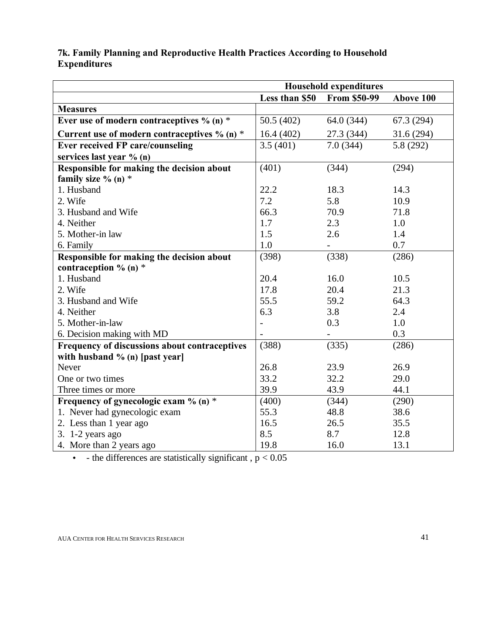## **7k. Family Planning and Reproductive Health Practices According to Household Expenditures**

|                                                | <b>Household expenditures</b> |                     |           |  |
|------------------------------------------------|-------------------------------|---------------------|-----------|--|
|                                                | Less than \$50                | <b>From \$50-99</b> | Above 100 |  |
| <b>Measures</b>                                |                               |                     |           |  |
| Ever use of modern contraceptives $\%$ (n) $*$ | 50.5 (402)                    | 64.0 (344)          | 67.3(294) |  |
| Current use of modern contraceptives $% (n)*$  | 16.4(402)                     | 27.3 (344)          | 31.6(294) |  |
| <b>Ever received FP care/counseling</b>        | 3.5(401)                      | 7.0(344)            | 5.8 (292) |  |
| services last year % (n)                       |                               |                     |           |  |
| Responsible for making the decision about      | (401)                         | (344)               | (294)     |  |
| family size $% (n) *$                          |                               |                     |           |  |
| 1. Husband                                     | 22.2                          | 18.3                | 14.3      |  |
| 2. Wife                                        | 7.2                           | 5.8                 | 10.9      |  |
| 3. Husband and Wife                            | 66.3                          | 70.9                | 71.8      |  |
| 4. Neither                                     | 1.7                           | 2.3                 | 1.0       |  |
| 5. Mother-in law                               | 1.5                           | 2.6                 | 1.4       |  |
| 6. Family                                      | 1.0                           |                     | 0.7       |  |
| Responsible for making the decision about      | (398)                         | (338)               | (286)     |  |
| contraception $\%$ (n) $*$                     |                               |                     |           |  |
| 1. Husband                                     | 20.4                          | 16.0                | 10.5      |  |
| 2. Wife                                        | 17.8                          | 20.4                | 21.3      |  |
| 3. Husband and Wife                            | 55.5                          | 59.2                | 64.3      |  |
| 4. Neither                                     | 6.3                           | 3.8                 | 2.4       |  |
| 5. Mother-in-law                               |                               | 0.3                 | 1.0       |  |
| 6. Decision making with MD                     |                               |                     | 0.3       |  |
| Frequency of discussions about contraceptives  | (388)                         | (335)               | (286)     |  |
| with husband % (n) [past year]                 |                               |                     |           |  |
| <b>Never</b>                                   | 26.8                          | 23.9                | 26.9      |  |
| One or two times                               | 33.2                          | 32.2                | 29.0      |  |
| Three times or more                            | 39.9                          | 43.9                | 44.1      |  |
| Frequency of gynecologic exam % (n) $*$        | (400)                         | (344)               | (290)     |  |
| 1. Never had gynecologic exam                  | 55.3                          | 48.8                | 38.6      |  |
| 2. Less than 1 year ago                        | 16.5                          | 26.5                | 35.5      |  |
| 3. $1-2$ years ago                             | 8.5                           | 8.7                 | 12.8      |  |
| 4. More than 2 years ago                       | 19.8                          | 16.0                | 13.1      |  |

 $\bullet$  - the differences are statistically significant,  $p < 0.05$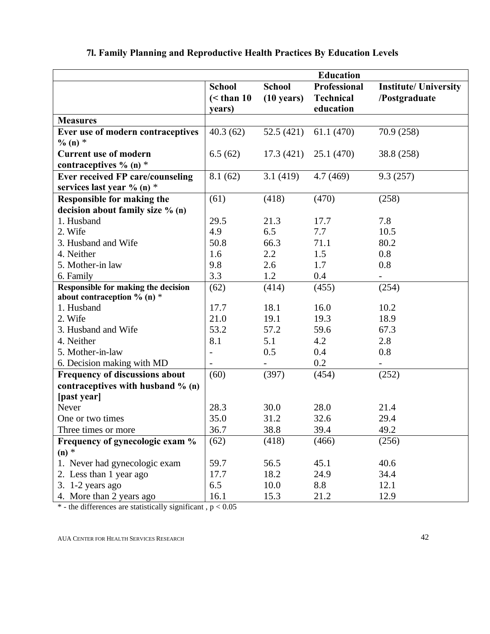|                                            | <b>Education</b>         |                      |                               |                              |  |
|--------------------------------------------|--------------------------|----------------------|-------------------------------|------------------------------|--|
|                                            | <b>School</b>            | <b>School</b>        | <b>Professional</b>           | <b>Institute/ University</b> |  |
|                                            | $\leq$ than 10<br>years) | $(10 \text{ years})$ | <b>Technical</b><br>education | /Postgraduate                |  |
| <b>Measures</b>                            |                          |                      |                               |                              |  |
| Ever use of modern contraceptives          | 40.3(62)                 | 52.5 (421)           | 61.1(470)                     | 70.9 (258)                   |  |
| % $(n)$ *                                  |                          |                      |                               |                              |  |
| <b>Current use of modern</b>               | 6.5(62)                  | 17.3(421)            | 25.1(470)                     | 38.8 (258)                   |  |
| contraceptives $\%$ (n) $*$                |                          |                      |                               |                              |  |
| <b>Ever received FP care/counseling</b>    | 8.1(62)                  | 3.1(419)             | 4.7(469)                      | 9.3(257)                     |  |
| services last year % (n) *                 |                          |                      |                               |                              |  |
| <b>Responsible for making the</b>          | (61)                     | (418)                | (470)                         | (258)                        |  |
| decision about family size % (n)           |                          |                      |                               |                              |  |
| 1. Husband                                 | 29.5                     | 21.3                 | 17.7                          | 7.8                          |  |
| 2. Wife                                    | 4.9                      | 6.5                  | 7.7                           | 10.5                         |  |
| 3. Husband and Wife                        | 50.8                     | 66.3                 | 71.1                          | 80.2                         |  |
| 4. Neither                                 | 1.6                      | 2.2                  | 1.5                           | 0.8                          |  |
| 5. Mother-in law                           | 9.8                      | 2.6                  | 1.7                           | 0.8                          |  |
| 6. Family                                  | 3.3                      | 1.2                  | 0.4                           |                              |  |
| <b>Responsible for making the decision</b> | (62)                     | (414)                | (455)                         | (254)                        |  |
| about contraception % (n) *                |                          |                      |                               |                              |  |
| 1. Husband                                 | 17.7                     | 18.1                 | 16.0                          | 10.2                         |  |
| 2. Wife                                    | 21.0                     | 19.1                 | 19.3                          | 18.9                         |  |
| 3. Husband and Wife                        | 53.2                     | 57.2                 | 59.6                          | 67.3                         |  |
| 4. Neither                                 | 8.1                      | 5.1                  | 4.2                           | 2.8                          |  |
| 5. Mother-in-law                           |                          | 0.5                  | 0.4                           | 0.8                          |  |
| 6. Decision making with MD                 |                          |                      | 0.2                           |                              |  |
| <b>Frequency of discussions about</b>      | (60)                     | (397)                | (454)                         | (252)                        |  |
| contraceptives with husband $% (n)$        |                          |                      |                               |                              |  |
| [past year]                                |                          |                      |                               |                              |  |
| Never                                      | 28.3                     | 30.0                 | 28.0                          | 21.4                         |  |
| One or two times                           | 35.0                     | 31.2                 | 32.6                          | 29.4                         |  |
| Three times or more                        | 36.7                     | 38.8                 | 39.4                          | 49.2                         |  |
| Frequency of gynecologic exam %            | (62)                     | (418)                | (466)                         | (256)                        |  |
| $(n)$ *                                    |                          |                      |                               |                              |  |
| 1. Never had gynecologic exam              | 59.7                     | 56.5                 | 45.1                          | 40.6                         |  |
| 2. Less than 1 year ago                    | 17.7                     | 18.2                 | 24.9                          | 34.4                         |  |
| 3. 1-2 years ago                           | 6.5                      | 10.0                 | 8.8                           | 12.1                         |  |
| 4. More than 2 years ago                   | 16.1                     | 15.3                 | 21.2                          | 12.9                         |  |

## **7l. Family Planning and Reproductive Health Practices By Education Levels**

\* - the differences are statistically significant,  $p < 0.05$